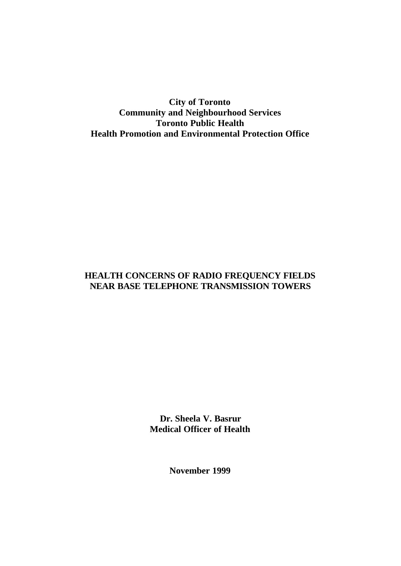**City of Toronto Community and Neighbourhood Services Toronto Public Health Health Promotion and Environmental Protection Office**

# **HEALTH CONCERNS OF RADIO FREQUENCY FIELDS NEAR BASE TELEPHONE TRANSMISSION TOWERS**

**Dr. Sheela V. Basrur Medical Officer of Health**

**November 1999**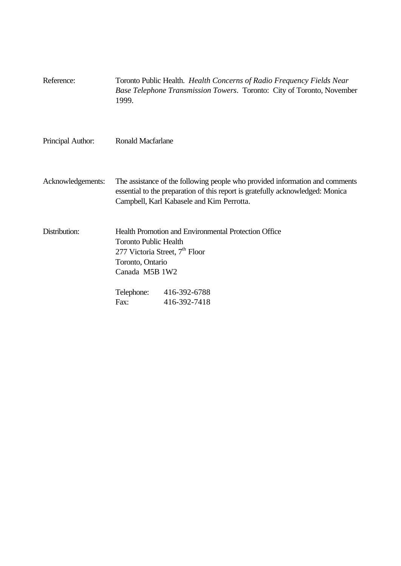| Reference:        | 1999.                                                                                                                                  | Toronto Public Health. Health Concerns of Radio Frequency Fields Near<br>Base Telephone Transmission Towers. Toronto: City of Toronto, November                                                             |
|-------------------|----------------------------------------------------------------------------------------------------------------------------------------|-------------------------------------------------------------------------------------------------------------------------------------------------------------------------------------------------------------|
| Principal Author: | <b>Ronald Macfarlane</b>                                                                                                               |                                                                                                                                                                                                             |
| Acknowledgements: |                                                                                                                                        | The assistance of the following people who provided information and comments<br>essential to the preparation of this report is gratefully acknowledged: Monica<br>Campbell, Karl Kabasele and Kim Perrotta. |
| Distribution:     | <b>Toronto Public Health</b><br>277 Victoria Street, 7 <sup>th</sup> Floor<br>Toronto, Ontario<br>Canada M5B 1W2<br>Telephone:<br>Fax: | Health Promotion and Environmental Protection Office<br>416-392-6788<br>416-392-7418                                                                                                                        |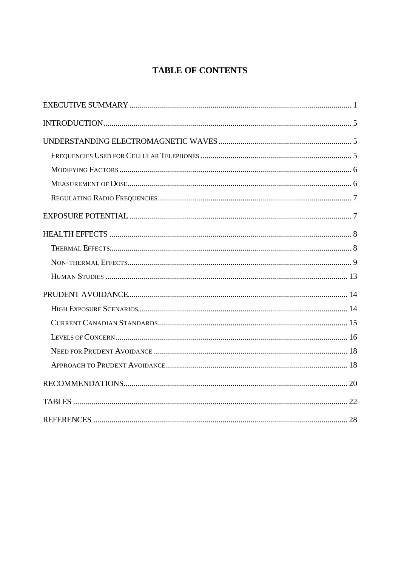# **TABLE OF CONTENTS**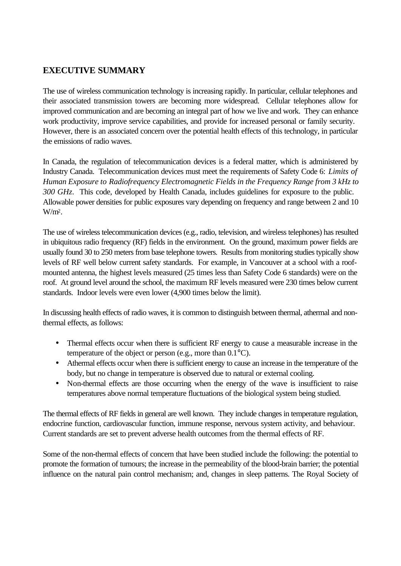# **EXECUTIVE SUMMARY**

The use of wireless communication technology is increasing rapidly. In particular, cellular telephones and their associated transmission towers are becoming more widespread. Cellular telephones allow for improved communication and are becoming an integral part of how we live and work. They can enhance work productivity, improve service capabilities, and provide for increased personal or family security. However, there is an associated concern over the potential health effects of this technology, in particular the emissions of radio waves.

In Canada, the regulation of telecommunication devices is a federal matter, which is administered by Industry Canada. Telecommunication devices must meet the requirements of Safety Code 6: *Limits of Human Exposure to Radiofrequency Electromagnetic Fields in the Frequency Range from 3 kHz to 300 GHz*. This code, developed by Health Canada, includes guidelines for exposure to the public. Allowable power densities for public exposures vary depending on frequency and range between 2 and 10 W/m<sup>2</sup> .

The use of wireless telecommunication devices (e.g., radio, television, and wireless telephones) has resulted in ubiquitous radio frequency (RF) fields in the environment. On the ground, maximum power fields are usually found 30 to 250 meters from base telephone towers. Results from monitoring studies typically show levels of RF well below current safety standards. For example, in Vancouver at a school with a roofmounted antenna, the highest levels measured (25 times less than Safety Code 6 standards) were on the roof. At ground level around the school, the maximum RF levels measured were 230 times below current standards. Indoor levels were even lower (4,900 times below the limit).

In discussing health effects of radio waves, it is common to distinguish between thermal, athermal and nonthermal effects, as follows:

- Thermal effects occur when there is sufficient RF energy to cause a measurable increase in the temperature of the object or person (e.g., more than 0.1°C).
- Athermal effects occur when there is sufficient energy to cause an increase in the temperature of the body, but no change in temperature is observed due to natural or external cooling.
- Non-thermal effects are those occurring when the energy of the wave is insufficient to raise temperatures above normal temperature fluctuations of the biological system being studied.

The thermal effects of RF fields in general are well known. They include changes in temperature regulation, endocrine function, cardiovascular function, immune response, nervous system activity, and behaviour. Current standards are set to prevent adverse health outcomes from the thermal effects of RF.

Some of the non-thermal effects of concern that have been studied include the following: the potential to promote the formation of tumours; the increase in the permeability of the blood-brain barrier; the potential influence on the natural pain control mechanism; and, changes in sleep patterns. The Royal Society of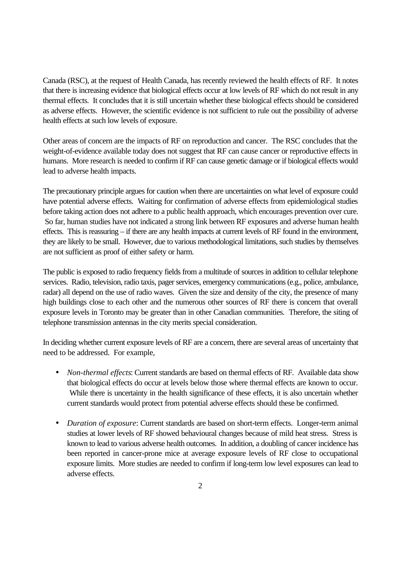Canada (RSC), at the request of Health Canada, has recently reviewed the health effects of RF. It notes that there is increasing evidence that biological effects occur at low levels of RF which do not result in any thermal effects. It concludes that it is still uncertain whether these biological effects should be considered as adverse effects. However, the scientific evidence is not sufficient to rule out the possibility of adverse health effects at such low levels of exposure.

Other areas of concern are the impacts of RF on reproduction and cancer. The RSC concludes that the weight-of-evidence available today does not suggest that RF can cause cancer or reproductive effects in humans. More research is needed to confirm if RF can cause genetic damage or if biological effects would lead to adverse health impacts.

The precautionary principle argues for caution when there are uncertainties on what level of exposure could have potential adverse effects. Waiting for confirmation of adverse effects from epidemiological studies before taking action does not adhere to a public health approach, which encourages prevention over cure. So far, human studies have not indicated a strong link between RF exposures and adverse human health effects. This is reassuring – if there are any health impacts at current levels of RF found in the environment, they are likely to be small. However, due to various methodological limitations, such studies by themselves are not sufficient as proof of either safety or harm.

The public is exposed to radio frequency fields from a multitude of sources in addition to cellular telephone services. Radio, television, radio taxis, pager services, emergency communications (e.g., police, ambulance, radar) all depend on the use of radio waves. Given the size and density of the city, the presence of many high buildings close to each other and the numerous other sources of RF there is concern that overall exposure levels in Toronto may be greater than in other Canadian communities. Therefore, the siting of telephone transmission antennas in the city merits special consideration.

In deciding whether current exposure levels of RF are a concern, there are several areas of uncertainty that need to be addressed. For example,

- *Non-thermal effects*: Current standards are based on thermal effects of RF. Available data show that biological effects do occur at levels below those where thermal effects are known to occur. While there is uncertainty in the health significance of these effects, it is also uncertain whether current standards would protect from potential adverse effects should these be confirmed.
- *Duration of exposure*: Current standards are based on short-term effects. Longer-term animal studies at lower levels of RF showed behavioural changes because of mild heat stress. Stress is known to lead to various adverse health outcomes. In addition, a doubling of cancer incidence has been reported in cancer-prone mice at average exposure levels of RF close to occupational exposure limits. More studies are needed to confirm if long-term low level exposures can lead to adverse effects.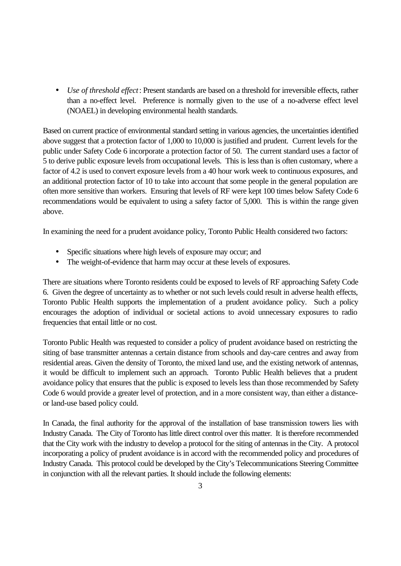• *Use of threshold effect*: Present standards are based on a threshold for irreversible effects, rather than a no-effect level. Preference is normally given to the use of a no-adverse effect level (NOAEL) in developing environmental health standards.

Based on current practice of environmental standard setting in various agencies, the uncertainties identified above suggest that a protection factor of 1,000 to 10,000 is justified and prudent. Current levels for the public under Safety Code 6 incorporate a protection factor of 50. The current standard uses a factor of 5 to derive public exposure levels from occupational levels. This is less than is often customary, where a factor of 4.2 is used to convert exposure levels from a 40 hour work week to continuous exposures, and an additional protection factor of 10 to take into account that some people in the general population are often more sensitive than workers. Ensuring that levels of RF were kept 100 times below Safety Code 6 recommendations would be equivalent to using a safety factor of 5,000. This is within the range given above.

In examining the need for a prudent avoidance policy, Toronto Public Health considered two factors:

- Specific situations where high levels of exposure may occur; and
- The weight-of-evidence that harm may occur at these levels of exposures.

There are situations where Toronto residents could be exposed to levels of RF approaching Safety Code 6. Given the degree of uncertainty as to whether or not such levels could result in adverse health effects, Toronto Public Health supports the implementation of a prudent avoidance policy. Such a policy encourages the adoption of individual or societal actions to avoid unnecessary exposures to radio frequencies that entail little or no cost.

Toronto Public Health was requested to consider a policy of prudent avoidance based on restricting the siting of base transmitter antennas a certain distance from schools and day-care centres and away from residential areas. Given the density of Toronto, the mixed land use, and the existing network of antennas, it would be difficult to implement such an approach. Toronto Public Health believes that a prudent avoidance policy that ensures that the public is exposed to levels less than those recommended by Safety Code 6 would provide a greater level of protection, and in a more consistent way, than either a distanceor land-use based policy could.

In Canada, the final authority for the approval of the installation of base transmission towers lies with Industry Canada. The City of Toronto has little direct control over this matter. It is therefore recommended that the City work with the industry to develop a protocol for the siting of antennas in the City. A protocol incorporating a policy of prudent avoidance is in accord with the recommended policy and procedures of Industry Canada. This protocol could be developed by the City's Telecommunications Steering Committee in conjunction with all the relevant parties. It should include the following elements: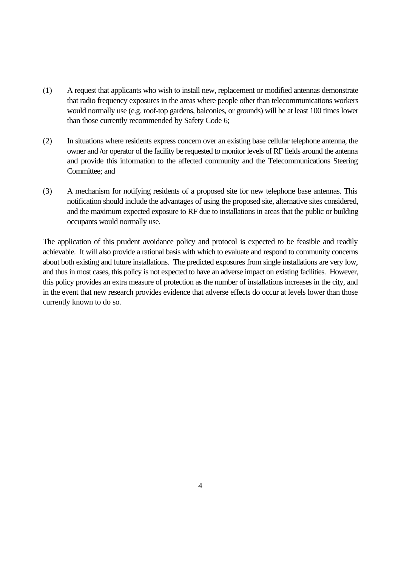- (1) A request that applicants who wish to install new, replacement or modified antennas demonstrate that radio frequency exposures in the areas where people other than telecommunications workers would normally use (e.g. roof-top gardens, balconies, or grounds) will be at least 100 times lower than those currently recommended by Safety Code 6;
- (2) In situations where residents express concern over an existing base cellular telephone antenna, the owner and /or operator of the facility be requested to monitor levels of RF fields around the antenna and provide this information to the affected community and the Telecommunications Steering Committee; and
- (3) A mechanism for notifying residents of a proposed site for new telephone base antennas. This notification should include the advantages of using the proposed site, alternative sites considered, and the maximum expected exposure to RF due to installations in areas that the public or building occupants would normally use.

The application of this prudent avoidance policy and protocol is expected to be feasible and readily achievable. It will also provide a rational basis with which to evaluate and respond to community concerns about both existing and future installations. The predicted exposures from single installations are very low, and thus in most cases, this policy is not expected to have an adverse impact on existing facilities. However, this policy provides an extra measure of protection as the number of installations increases in the city, and in the event that new research provides evidence that adverse effects do occur at levels lower than those currently known to do so.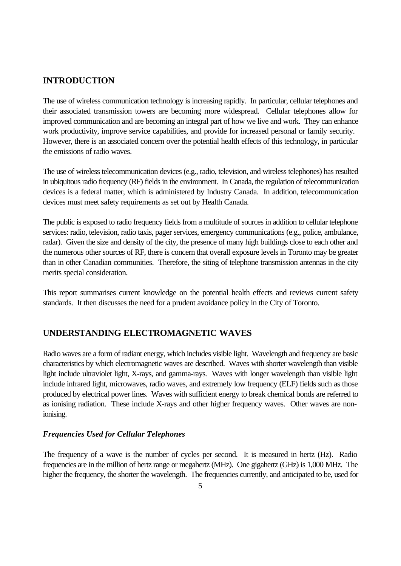# **INTRODUCTION**

The use of wireless communication technology is increasing rapidly. In particular, cellular telephones and their associated transmission towers are becoming more widespread. Cellular telephones allow for improved communication and are becoming an integral part of how we live and work. They can enhance work productivity, improve service capabilities, and provide for increased personal or family security. However, there is an associated concern over the potential health effects of this technology, in particular the emissions of radio waves.

The use of wireless telecommunication devices (e.g., radio, television, and wireless telephones) has resulted in ubiquitous radio frequency (RF) fields in the environment. In Canada, the regulation of telecommunication devices is a federal matter, which is administered by Industry Canada. In addition, telecommunication devices must meet safety requirements as set out by Health Canada.

The public is exposed to radio frequency fields from a multitude of sources in addition to cellular telephone services: radio, television, radio taxis, pager services, emergency communications (e.g., police, ambulance, radar). Given the size and density of the city, the presence of many high buildings close to each other and the numerous other sources of RF, there is concern that overall exposure levels in Toronto may be greater than in other Canadian communities. Therefore, the siting of telephone transmission antennas in the city merits special consideration.

This report summarises current knowledge on the potential health effects and reviews current safety standards. It then discusses the need for a prudent avoidance policy in the City of Toronto.

# **UNDERSTANDING ELECTROMAGNETIC WAVES**

Radio waves are a form of radiant energy, which includes visible light. Wavelength and frequency are basic characteristics by which electromagnetic waves are described. Waves with shorter wavelength than visible light include ultraviolet light, X-rays, and gamma-rays. Waves with longer wavelength than visible light include infrared light, microwaves, radio waves, and extremely low frequency (ELF) fields such as those produced by electrical power lines. Waves with sufficient energy to break chemical bonds are referred to as ionising radiation. These include X-rays and other higher frequency waves. Other waves are nonionising.

# *Frequencies Used for Cellular Telephones*

The frequency of a wave is the number of cycles per second. It is measured in hertz (Hz). Radio frequencies are in the million of hertz range or megahertz (MHz). One gigahertz (GHz) is 1,000 MHz. The higher the frequency, the shorter the wavelength. The frequencies currently, and anticipated to be, used for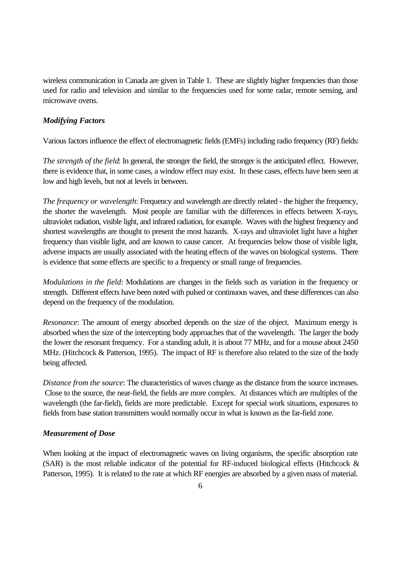wireless communication in Canada are given in Table 1. These are slightly higher frequencies than those used for radio and television and similar to the frequencies used for some radar, remote sensing, and microwave ovens.

### *Modifying Factors*

Various factors influence the effect of electromagnetic fields (EMFs) including radio frequency (RF) fields:

*The strength of the field*: In general, the stronger the field, the stronger is the anticipated effect. However, there is evidence that, in some cases, a window effect may exist. In these cases, effects have been seen at low and high levels, but not at levels in between.

*The frequency or wavelength*: Frequency and wavelength are directly related - the higher the frequency, the shorter the wavelength. Most people are familiar with the differences in effects between X-rays, ultraviolet radiation, visible light, and infrared radiation, for example. Waves with the highest frequency and shortest wavelengths are thought to present the most hazards. X-rays and ultraviolet light have a higher frequency than visible light, and are known to cause cancer. At frequencies below those of visible light, adverse impacts are usually associated with the heating effects of the waves on biological systems. There is evidence that some effects are specific to a frequency or small range of frequencies.

*Modulations in the field*: Modulations are changes in the fields such as variation in the frequency or strength. Different effects have been noted with pulsed or continuous waves, and these differences can also depend on the frequency of the modulation.

*Resonance*: The amount of energy absorbed depends on the size of the object. Maximum energy is absorbed when the size of the intercepting body approaches that of the wavelength. The larger the body the lower the resonant frequency. For a standing adult, it is about 77 MHz, and for a mouse about 2450 MHz. (Hitchcock & Patterson, 1995). The impact of RF is therefore also related to the size of the body being affected.

*Distance from the source*: The characteristics of waves change as the distance from the source increases. Close to the source, the near-field, the fields are more complex. At distances which are multiples of the wavelength (the far-field), fields are more predictable. Except for special work situations, exposures to fields from base station transmitters would normally occur in what is known as the far-field zone.

#### *Measurement of Dose*

When looking at the impact of electromagnetic waves on living organisms, the specific absorption rate (SAR) is the most reliable indicator of the potential for RF-induced biological effects (Hitchcock  $\&$ Patterson, 1995). It is related to the rate at which RF energies are absorbed by a given mass of material.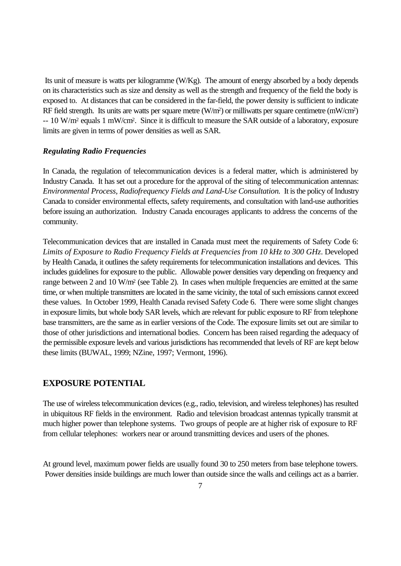Its unit of measure is watts per kilogramme (W/Kg). The amount of energy absorbed by a body depends on its characteristics such as size and density as well as the strength and frequency of the field the body is exposed to. At distances that can be considered in the far-field, the power density is sufficient to indicate RF field strength. Its units are watts per square metre (W/m<sup>2</sup>) or milliwatts per square centimetre (mW/cm<sup>2</sup>) -- 10 W/m<sup>2</sup> equals 1 mW/cm<sup>2</sup>. Since it is difficult to measure the SAR outside of a laboratory, exposure limits are given in terms of power densities as well as SAR.

#### *Regulating Radio Frequencies*

In Canada, the regulation of telecommunication devices is a federal matter, which is administered by Industry Canada. It has set out a procedure for the approval of the siting of telecommunication antennas: *Environmental Process, Radiofrequency Fields and Land-Use Consultation.* It is the policy of Industry Canada to consider environmental effects, safety requirements, and consultation with land-use authorities before issuing an authorization. Industry Canada encourages applicants to address the concerns of the community.

Telecommunication devices that are installed in Canada must meet the requirements of Safety Code 6: *Limits of Exposure to Radio Frequency Fields at Frequencies from 10 kHz to 300 GHz*. Developed by Health Canada, it outlines the safety requirements for telecommunication installations and devices. This includes guidelines for exposure to the public. Allowable power densities vary depending on frequency and range between 2 and 10 W/m<sup>2</sup> (see Table 2). In cases when multiple frequencies are emitted at the same time, or when multiple transmitters are located in the same vicinity, the total of such emissions cannot exceed these values. In October 1999, Health Canada revised Safety Code 6. There were some slight changes in exposure limits, but whole body SAR levels, which are relevant for public exposure to RF from telephone base transmitters, are the same as in earlier versions of the Code. The exposure limits set out are similar to those of other jurisdictions and international bodies. Concern has been raised regarding the adequacy of the permissible exposure levels and various jurisdictions has recommended that levels of RF are kept below these limits (BUWAL, 1999; NZine, 1997; Vermont, 1996).

#### **EXPOSURE POTENTIAL**

The use of wireless telecommunication devices (e.g., radio, television, and wireless telephones) has resulted in ubiquitous RF fields in the environment. Radio and television broadcast antennas typically transmit at much higher power than telephone systems. Two groups of people are at higher risk of exposure to RF from cellular telephones: workers near or around transmitting devices and users of the phones.

At ground level, maximum power fields are usually found 30 to 250 meters from base telephone towers. Power densities inside buildings are much lower than outside since the walls and ceilings act as a barrier.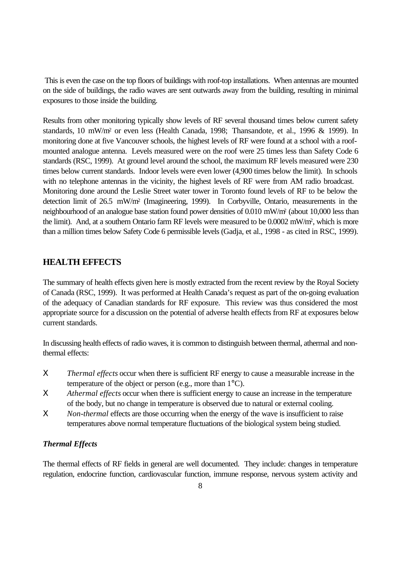This is even the case on the top floors of buildings with roof-top installations. When antennas are mounted on the side of buildings, the radio waves are sent outwards away from the building, resulting in minimal exposures to those inside the building.

Results from other monitoring typically show levels of RF several thousand times below current safety standards, 10 mW/m<sup>2</sup> or even less (Health Canada, 1998; Thansandote, et al., 1996 & 1999). In monitoring done at five Vancouver schools, the highest levels of RF were found at a school with a roofmounted analogue antenna. Levels measured were on the roof were 25 times less than Safety Code 6 standards (RSC, 1999). At ground level around the school, the maximum RF levels measured were 230 times below current standards. Indoor levels were even lower (4,900 times below the limit). In schools with no telephone antennas in the vicinity, the highest levels of RF were from AM radio broadcast. Monitoring done around the Leslie Street water tower in Toronto found levels of RF to be below the detection limit of 26.5 mW/m<sup>2</sup> (Imagineering, 1999). In Corbyville, Ontario, measurements in the neighbourhood of an analogue base station found power densities of 0.010 mW/m<sup>2</sup> (about 10,000 less than the limit). And, at a southern Ontario farm RF levels were measured to be 0.0002 mW/m<sup>2</sup> , which is more than a million times below Safety Code 6 permissible levels (Gadja, et al., 1998 - as cited in RSC, 1999).

# **HEALTH EFFECTS**

The summary of health effects given here is mostly extracted from the recent review by the Royal Society of Canada (RSC, 1999). It was performed at Health Canada's request as part of the on-going evaluation of the adequacy of Canadian standards for RF exposure. This review was thus considered the most appropriate source for a discussion on the potential of adverse health effects from RF at exposures below current standards.

In discussing health effects of radio waves, it is common to distinguish between thermal, athermal and nonthermal effects:

- Χ *Thermal effects* occur when there is sufficient RF energy to cause a measurable increase in the temperature of the object or person (e.g., more than 1°C).
- Χ *Athermal effects* occur when there is sufficient energy to cause an increase in the temperature of the body, but no change in temperature is observed due to natural or external cooling.
- Χ *Non-thermal* effects are those occurring when the energy of the wave is insufficient to raise temperatures above normal temperature fluctuations of the biological system being studied.

## *Thermal Effects*

The thermal effects of RF fields in general are well documented. They include: changes in temperature regulation, endocrine function, cardiovascular function, immune response, nervous system activity and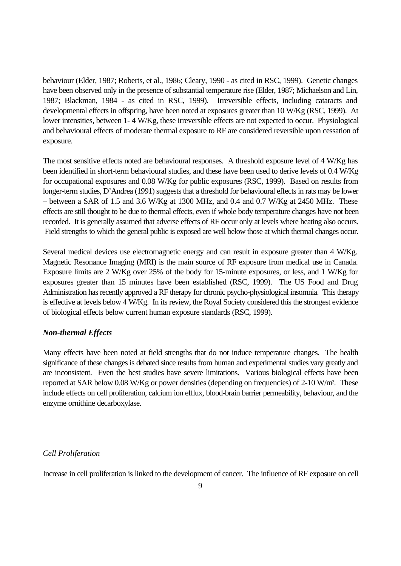behaviour (Elder, 1987; Roberts, et al., 1986; Cleary, 1990 - as cited in RSC, 1999). Genetic changes have been observed only in the presence of substantial temperature rise (Elder, 1987; Michaelson and Lin, 1987; Blackman, 1984 - as cited in RSC, 1999). Irreversible effects, including cataracts and developmental effects in offspring, have been noted at exposures greater than 10 W/Kg (RSC, 1999). At lower intensities, between 1-4 W/Kg, these irreversible effects are not expected to occur. Physiological and behavioural effects of moderate thermal exposure to RF are considered reversible upon cessation of exposure.

The most sensitive effects noted are behavioural responses. A threshold exposure level of 4 W/Kg has been identified in short-term behavioural studies, and these have been used to derive levels of 0.4 W/Kg for occupational exposures and 0.08 W/Kg for public exposures (RSC, 1999). Based on results from longer-term studies, D'Andrea (1991) suggests that a threshold for behavioural effects in rats may be lower – between a SAR of 1.5 and 3.6 W/Kg at 1300 MHz, and 0.4 and 0.7 W/Kg at 2450 MHz. These effects are still thought to be due to thermal effects, even if whole body temperature changes have not been recorded. It is generally assumed that adverse effects of RF occur only at levels where heating also occurs. Field strengths to which the general public is exposed are well below those at which thermal changes occur.

Several medical devices use electromagnetic energy and can result in exposure greater than 4 W/Kg. Magnetic Resonance Imaging (MRI) is the main source of RF exposure from medical use in Canada. Exposure limits are 2 W/Kg over 25% of the body for 15-minute exposures, or less, and 1 W/Kg for exposures greater than 15 minutes have been established (RSC, 1999). The US Food and Drug Administration has recently approved a RF therapy for chronic psycho-physiological insomnia. This therapy is effective at levels below 4 W/Kg. In its review, the Royal Society considered this the strongest evidence of biological effects below current human exposure standards (RSC, 1999).

#### *Non-thermal Effects*

Many effects have been noted at field strengths that do not induce temperature changes. The health significance of these changes is debated since results from human and experimental studies vary greatly and are inconsistent. Even the best studies have severe limitations. Various biological effects have been reported at SAR below 0.08 W/Kg or power densities (depending on frequencies) of 2-10 W/m<sup>2</sup> . These include effects on cell proliferation, calcium ion efflux, blood-brain barrier permeability, behaviour, and the enzyme ornithine decarboxylase.

#### *Cell Proliferation*

Increase in cell proliferation is linked to the development of cancer. The influence of RF exposure on cell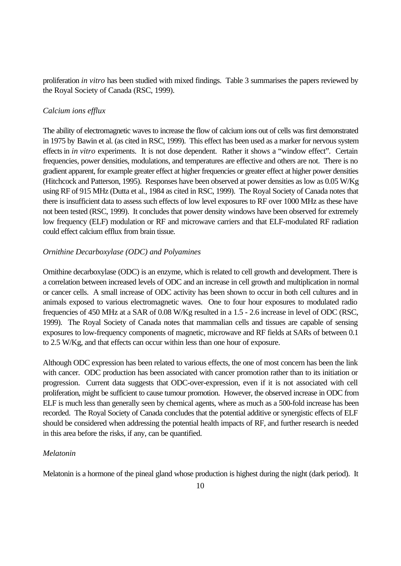proliferation *in vitro* has been studied with mixed findings. Table 3 summarises the papers reviewed by the Royal Society of Canada (RSC, 1999).

## *Calcium ions efflux*

The ability of electromagnetic waves to increase the flow of calcium ions out of cells was first demonstrated in 1975 by Bawin et al. (as cited in RSC, 1999). This effect has been used as a marker for nervous system effects in *in vitro* experiments. It is not dose dependent. Rather it shows a "window effect". Certain frequencies, power densities, modulations, and temperatures are effective and others are not. There is no gradient apparent, for example greater effect at higher frequencies or greater effect at higher power densities (Hitchcock and Patterson, 1995). Responses have been observed at power densities as low as 0.05 W/Kg using RF of 915 MHz (Dutta et al., 1984 as cited in RSC, 1999). The Royal Society of Canada notes that there is insufficient data to assess such effects of low level exposures to RF over 1000 MHz as these have not been tested (RSC, 1999). It concludes that power density windows have been observed for extremely low frequency (ELF) modulation or RF and microwave carriers and that ELF-modulated RF radiation could effect calcium efflux from brain tissue.

## *Ornithine Decarboxylase (ODC) and Polyamines*

Ornithine decarboxylase (ODC) is an enzyme, which is related to cell growth and development. There is a correlation between increased levels of ODC and an increase in cell growth and multiplication in normal or cancer cells. A small increase of ODC activity has been shown to occur in both cell cultures and in animals exposed to various electromagnetic waves. One to four hour exposures to modulated radio frequencies of 450 MHz at a SAR of 0.08 W/Kg resulted in a 1.5 - 2.6 increase in level of ODC (RSC, 1999). The Royal Society of Canada notes that mammalian cells and tissues are capable of sensing exposures to low-frequency components of magnetic, microwave and RF fields at SARs of between 0.1 to 2.5 W/Kg, and that effects can occur within less than one hour of exposure.

Although ODC expression has been related to various effects, the one of most concern has been the link with cancer. ODC production has been associated with cancer promotion rather than to its initiation or progression. Current data suggests that ODC-over-expression, even if it is not associated with cell proliferation, might be sufficient to cause tumour promotion. However, the observed increase in ODC from ELF is much less than generally seen by chemical agents, where as much as a 500-fold increase has been recorded. The Royal Society of Canada concludes that the potential additive or synergistic effects of ELF should be considered when addressing the potential health impacts of RF, and further research is needed in this area before the risks, if any, can be quantified.

## *Melatonin*

Melatonin is a hormone of the pineal gland whose production is highest during the night (dark period). It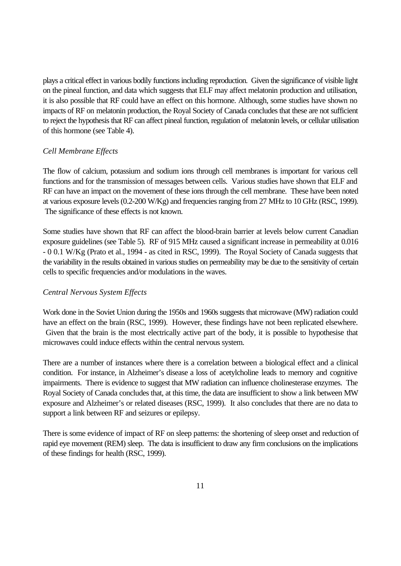plays a critical effect in various bodily functions including reproduction. Given the significance of visible light on the pineal function, and data which suggests that ELF may affect melatonin production and utilisation, it is also possible that RF could have an effect on this hormone. Although, some studies have shown no impacts of RF on melatonin production, the Royal Society of Canada concludes that these are not sufficient to reject the hypothesis that RF can affect pineal function, regulation of melatonin levels, or cellular utilisation of this hormone (see Table 4).

### *Cell Membrane Effects*

The flow of calcium, potassium and sodium ions through cell membranes is important for various cell functions and for the transmission of messages between cells. Various studies have shown that ELF and RF can have an impact on the movement of these ions through the cell membrane. These have been noted at various exposure levels (0.2-200 W/Kg) and frequencies ranging from 27 MHz to 10 GHz (RSC, 1999). The significance of these effects is not known.

Some studies have shown that RF can affect the blood-brain barrier at levels below current Canadian exposure guidelines (see Table 5). RF of 915 MHz caused a significant increase in permeability at 0.016 - 0 0.1 W/Kg (Prato et al., 1994 - as cited in RSC, 1999). The Royal Society of Canada suggests that the variability in the results obtained in various studies on permeability may be due to the sensitivity of certain cells to specific frequencies and/or modulations in the waves.

#### *Central Nervous System Effects*

Work done in the Soviet Union during the 1950s and 1960s suggests that microwave (MW) radiation could have an effect on the brain (RSC, 1999). However, these findings have not been replicated elsewhere. Given that the brain is the most electrically active part of the body, it is possible to hypothesise that microwaves could induce effects within the central nervous system.

There are a number of instances where there is a correlation between a biological effect and a clinical condition. For instance, in Alzheimer's disease a loss of acetylcholine leads to memory and cognitive impairments. There is evidence to suggest that MW radiation can influence cholinesterase enzymes. The Royal Society of Canada concludes that, at this time, the data are insufficient to show a link between MW exposure and Alzheimer's or related diseases (RSC, 1999). It also concludes that there are no data to support a link between RF and seizures or epilepsy.

There is some evidence of impact of RF on sleep patterns: the shortening of sleep onset and reduction of rapid eye movement (REM) sleep. The data is insufficient to draw any firm conclusions on the implications of these findings for health (RSC, 1999).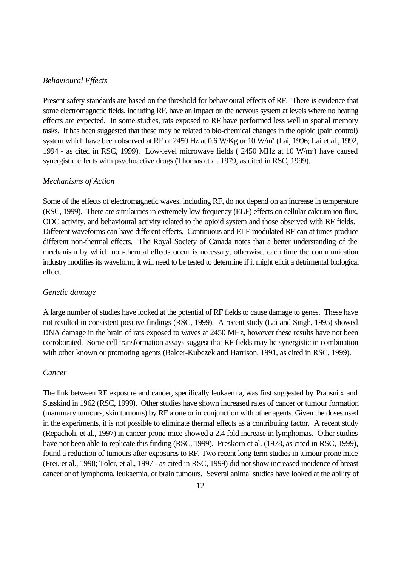#### *Behavioural Effects*

Present safety standards are based on the threshold for behavioural effects of RF. There is evidence that some electromagnetic fields, including RF, have an impact on the nervous system at levels where no heating effects are expected. In some studies, rats exposed to RF have performed less well in spatial memory tasks. It has been suggested that these may be related to bio-chemical changes in the opioid (pain control) system which have been observed at RF of 2450 Hz at 0.6 W/Kg or 10 W/m<sup>2</sup> (Lai, 1996; Lai et al., 1992, 1994 - as cited in RSC, 1999). Low-level microwave fields ( 2450 MHz at 10 W/m<sup>2</sup> ) have caused synergistic effects with psychoactive drugs (Thomas et al. 1979, as cited in RSC, 1999).

#### *Mechanisms of Action*

Some of the effects of electromagnetic waves, including RF, do not depend on an increase in temperature (RSC, 1999). There are similarities in extremely low frequency (ELF) effects on cellular calcium ion flux, ODC activity, and behavioural activity related to the opioid system and those observed with RF fields. Different waveforms can have different effects. Continuous and ELF-modulated RF can at times produce different non-thermal effects. The Royal Society of Canada notes that a better understanding of the mechanism by which non-thermal effects occur is necessary, otherwise, each time the communication industry modifies its waveform, it will need to be tested to determine if it might elicit a detrimental biological effect.

#### *Genetic damage*

A large number of studies have looked at the potential of RF fields to cause damage to genes. These have not resulted in consistent positive findings (RSC, 1999). A recent study (Lai and Singh, 1995) showed DNA damage in the brain of rats exposed to waves at 2450 MHz, however these results have not been corroborated. Some cell transformation assays suggest that RF fields may be synergistic in combination with other known or promoting agents (Balcer-Kubczek and Harrison, 1991, as cited in RSC, 1999).

#### *Cancer*

The link between RF exposure and cancer, specifically leukaemia, was first suggested by Prausnitx and Susskind in 1962 (RSC, 1999). Other studies have shown increased rates of cancer or tumour formation (mammary tumours, skin tumours) by RF alone or in conjunction with other agents. Given the doses used in the experiments, it is not possible to eliminate thermal effects as a contributing factor. A recent study (Repacholi, et al., 1997) in cancer-prone mice showed a 2.4 fold increase in lymphomas. Other studies have not been able to replicate this finding (RSC, 1999). Preskorn et al. (1978, as cited in RSC, 1999), found a reduction of tumours after exposures to RF. Two recent long-term studies in tumour prone mice (Frei, et al., 1998; Toler, et al., 1997 - as cited in RSC, 1999) did not show increased incidence of breast cancer or of lymphoma, leukaemia, or brain tumours. Several animal studies have looked at the ability of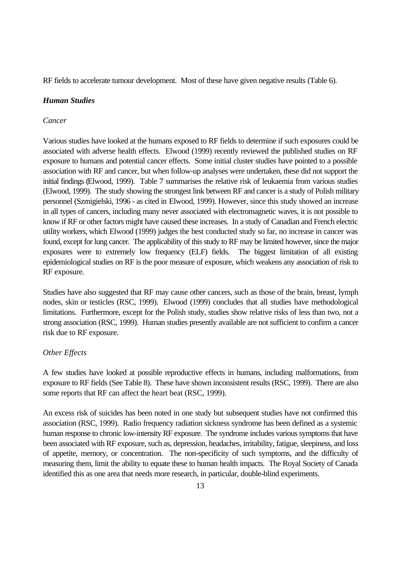RF fields to accelerate tumour development. Most of these have given negative results (Table 6).

### *Human Studies*

#### *Cancer*

Various studies have looked at the humans exposed to RF fields to determine if such exposures could be associated with adverse health effects. Elwood (1999) recently reviewed the published studies on RF exposure to humans and potential cancer effects. Some initial cluster studies have pointed to a possible association with RF and cancer, but when follow-up analyses were undertaken, these did not support the initial findings (Elwood, 1999). Table 7 summarises the relative risk of leukaemia from various studies (Elwood, 1999). The study showing the strongest link between RF and cancer is a study of Polish military personnel (Szmigielski, 1996 - as cited in Elwood, 1999). However, since this study showed an increase in all types of cancers, including many never associated with electromagnetic waves, it is not possible to know if RF or other factors might have caused these increases. In a study of Canadian and French electric utility workers, which Elwood (1999) judges the best conducted study so far, no increase in cancer was found, except for lung cancer. The applicability of this study to RF may be limited however, since the major exposures were to extremely low frequency (ELF) fields. The biggest limitation of all existing epidemiological studies on RF is the poor measure of exposure, which weakens any association of risk to RF exposure.

Studies have also suggested that RF may cause other cancers, such as those of the brain, breast, lymph nodes, skin or testicles (RSC, 1999). Elwood (1999) concludes that all studies have methodological limitations. Furthermore, except for the Polish study, studies show relative risks of less than two, not a strong association (RSC, 1999). Human studies presently available are not sufficient to confirm a cancer risk due to RF exposure.

## *Other Effects*

A few studies have looked at possible reproductive effects in humans, including malformations, from exposure to RF fields (See Table 8). These have shown inconsistent results (RSC, 1999). There are also some reports that RF can affect the heart beat (RSC, 1999).

An excess risk of suicides has been noted in one study but subsequent studies have not confirmed this association (RSC, 1999). Radio frequency radiation sickness syndrome has been defined as a systemic human response to chronic low-intensity RF exposure. The syndrome includes various symptoms that have been associated with RF exposure, such as, depression, headaches, irritability, fatigue, sleepiness, and loss of appetite, memory, or concentration. The non-specificity of such symptoms, and the difficulty of measuring them, limit the ability to equate these to human health impacts. The Royal Society of Canada identified this as one area that needs more research, in particular, double-blind experiments.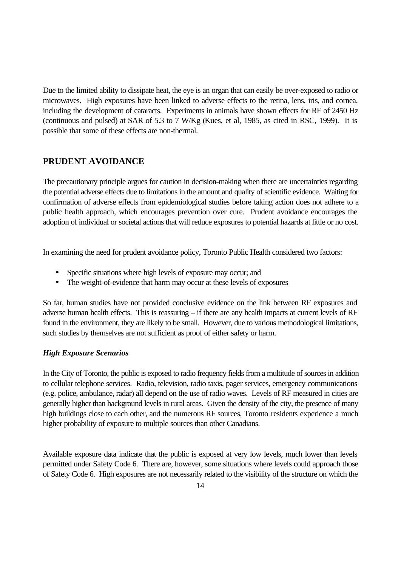Due to the limited ability to dissipate heat, the eye is an organ that can easily be over-exposed to radio or microwaves. High exposures have been linked to adverse effects to the retina, lens, iris, and cornea, including the development of cataracts. Experiments in animals have shown effects for RF of 2450 Hz (continuous and pulsed) at SAR of 5.3 to 7 W/Kg (Kues, et al, 1985, as cited in RSC, 1999). It is possible that some of these effects are non-thermal.

# **PRUDENT AVOIDANCE**

The precautionary principle argues for caution in decision-making when there are uncertainties regarding the potential adverse effects due to limitations in the amount and quality of scientific evidence. Waiting for confirmation of adverse effects from epidemiological studies before taking action does not adhere to a public health approach, which encourages prevention over cure. Prudent avoidance encourages the adoption of individual or societal actions that will reduce exposures to potential hazards at little or no cost.

In examining the need for prudent avoidance policy, Toronto Public Health considered two factors:

- Specific situations where high levels of exposure may occur; and
- The weight-of-evidence that harm may occur at these levels of exposures

So far, human studies have not provided conclusive evidence on the link between RF exposures and adverse human health effects. This is reassuring – if there are any health impacts at current levels of RF found in the environment, they are likely to be small. However, due to various methodological limitations, such studies by themselves are not sufficient as proof of either safety or harm.

# *High Exposure Scenarios*

In the City of Toronto, the public is exposed to radio frequency fields from a multitude of sources in addition to cellular telephone services. Radio, television, radio taxis, pager services, emergency communications (e.g. police, ambulance, radar) all depend on the use of radio waves. Levels of RF measured in cities are generally higher than background levels in rural areas. Given the density of the city, the presence of many high buildings close to each other, and the numerous RF sources, Toronto residents experience a much higher probability of exposure to multiple sources than other Canadians.

Available exposure data indicate that the public is exposed at very low levels, much lower than levels permitted under Safety Code 6. There are, however, some situations where levels could approach those of Safety Code 6. High exposures are not necessarily related to the visibility of the structure on which the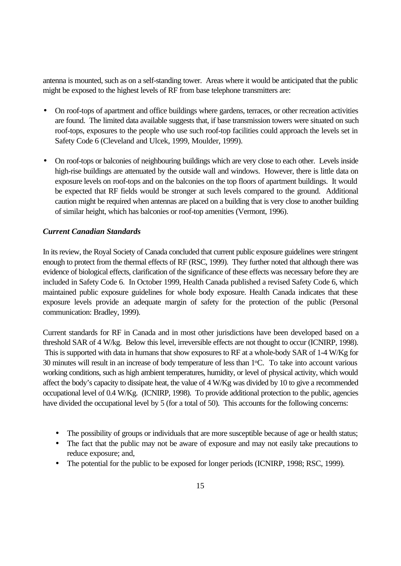antenna is mounted, such as on a self-standing tower. Areas where it would be anticipated that the public might be exposed to the highest levels of RF from base telephone transmitters are:

- On roof-tops of apartment and office buildings where gardens, terraces, or other recreation activities are found. The limited data available suggests that, if base transmission towers were situated on such roof-tops, exposures to the people who use such roof-top facilities could approach the levels set in Safety Code 6 (Cleveland and Ulcek, 1999, Moulder, 1999).
- On roof-tops or balconies of neighbouring buildings which are very close to each other. Levels inside high-rise buildings are attenuated by the outside wall and windows. However, there is little data on exposure levels on roof-tops and on the balconies on the top floors of apartment buildings. It would be expected that RF fields would be stronger at such levels compared to the ground. Additional caution might be required when antennas are placed on a building that is very close to another building of similar height, which has balconies or roof-top amenities (Vermont, 1996).

## *Current Canadian Standards*

In its review, the Royal Society of Canada concluded that current public exposure guidelines were stringent enough to protect from the thermal effects of RF (RSC, 1999). They further noted that although there was evidence of biological effects, clarification of the significance of these effects was necessary before they are included in Safety Code 6. In October 1999, Health Canada published a revised Safety Code 6, which maintained public exposure guidelines for whole body exposure. Health Canada indicates that these exposure levels provide an adequate margin of safety for the protection of the public (Personal communication: Bradley, 1999).

Current standards for RF in Canada and in most other jurisdictions have been developed based on a threshold SAR of 4 W/kg. Below this level, irreversible effects are not thought to occur (ICNIRP, 1998). This is supported with data in humans that show exposures to RF at a whole-body SAR of 1-4 W/Kg for 30 minutes will result in an increase of body temperature of less than  $1\degree$ C. To take into account various working conditions, such as high ambient temperatures, humidity, or level of physical activity, which would affect the body's capacity to dissipate heat, the value of 4 W/Kg was divided by 10 to give a recommended occupational level of 0.4 W/Kg. (ICNIRP, 1998). To provide additional protection to the public, agencies have divided the occupational level by 5 (for a total of 50). This accounts for the following concerns:

- The possibility of groups or individuals that are more susceptible because of age or health status;
- The fact that the public may not be aware of exposure and may not easily take precautions to reduce exposure; and,
- The potential for the public to be exposed for longer periods (ICNIRP, 1998; RSC, 1999).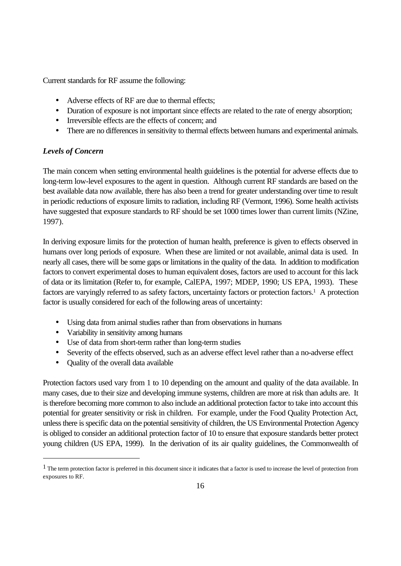Current standards for RF assume the following:

- Adverse effects of RF are due to thermal effects:
- Duration of exposure is not important since effects are related to the rate of energy absorption;
- Irreversible effects are the effects of concern; and
- There are no differences in sensitivity to thermal effects between humans and experimental animals.

# *Levels of Concern*

The main concern when setting environmental health guidelines is the potential for adverse effects due to long-term low-level exposures to the agent in question. Although current RF standards are based on the best available data now available, there has also been a trend for greater understanding over time to result in periodic reductions of exposure limits to radiation, including RF (Vermont, 1996). Some health activists have suggested that exposure standards to RF should be set 1000 times lower than current limits (NZine, 1997).

In deriving exposure limits for the protection of human health, preference is given to effects observed in humans over long periods of exposure. When these are limited or not available, animal data is used. In nearly all cases, there will be some gaps or limitations in the quality of the data. In addition to modification factors to convert experimental doses to human equivalent doses, factors are used to account for this lack of data or its limitation (Refer to, for example, CalEPA, 1997; MDEP, 1990; US EPA, 1993). These factors are varyingly referred to as safety factors, uncertainty factors or protection factors.<sup>1</sup> A protection factor is usually considered for each of the following areas of uncertainty:

- Using data from animal studies rather than from observations in humans
- Variability in sensitivity among humans
- Use of data from short-term rather than long-term studies
- Severity of the effects observed, such as an adverse effect level rather than a no-adverse effect
- Quality of the overall data available

l

Protection factors used vary from 1 to 10 depending on the amount and quality of the data available. In many cases, due to their size and developing immune systems, children are more at risk than adults are. It is therefore becoming more common to also include an additional protection factor to take into account this potential for greater sensitivity or risk in children. For example, under the Food Quality Protection Act, unless there is specific data on the potential sensitivity of children, the US Environmental Protection Agency is obliged to consider an additional protection factor of 10 to ensure that exposure standards better protect young children (US EPA, 1999). In the derivation of its air quality guidelines, the Commonwealth of

<sup>&</sup>lt;sup>1</sup> The term protection factor is preferred in this document since it indicates that a factor is used to increase the level of protection from exposures to RF.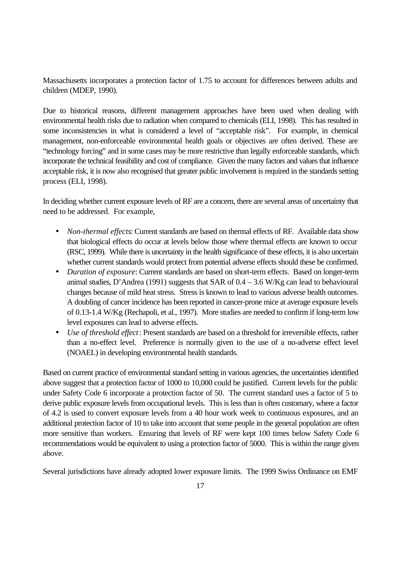Massachusetts incorporates a protection factor of 1.75 to account for differences between adults and children (MDEP, 1990).

Due to historical reasons, different management approaches have been used when dealing with environmental health risks due to radiation when compared to chemicals (ELI, 1998). This has resulted in some inconsistencies in what is considered a level of "acceptable risk". For example, in chemical management, non-enforceable environmental health goals or objectives are often derived. These are "technology forcing" and in some cases may be more restrictive than legally enforceable standards, which incorporate the technical feasibility and cost of compliance. Given the many factors and values that influence acceptable risk, it is now also recognised that greater public involvement is required in the standards setting process (ELI, 1998).

In deciding whether current exposure levels of RF are a concern, there are several areas of uncertainty that need to be addressed. For example,

- *Non-thermal effects*: Current standards are based on thermal effects of RF. Available data show that biological effects do occur at levels below those where thermal effects are known to occur (RSC, 1999). While there is uncertainty in the health significance of these effects, it is also uncertain whether current standards would protect from potential adverse effects should these be confirmed.
- *Duration of exposure*: Current standards are based on short-term effects. Based on longer-term animal studies, D'Andrea (1991) suggests that SAR of  $0.4 - 3.6$  W/Kg can lead to behavioural changes because of mild heat stress. Stress is known to lead to various adverse health outcomes. A doubling of cancer incidence has been reported in cancer-prone mice at average exposure levels of 0.13-1.4 W/Kg (Rechapoli, et al., 1997). More studies are needed to confirm if long-term low level exposures can lead to adverse effects.
- *Use of threshold effect*: Present standards are based on a threshold for irreversible effects, rather than a no-effect level. Preference is normally given to the use of a no-adverse effect level (NOAEL) in developing environmental health standards.

Based on current practice of environmental standard setting in various agencies, the uncertainties identified above suggest that a protection factor of 1000 to 10,000 could be justified. Current levels for the public under Safety Code 6 incorporate a protection factor of 50. The current standard uses a factor of 5 to derive public exposure levels from occupational levels. This is less than is often customary, where a factor of 4.2 is used to convert exposure levels from a 40 hour work week to continuous exposures, and an additional protection factor of 10 to take into account that some people in the general population are often more sensitive than workers. Ensuring that levels of RF were kept 100 times below Safety Code 6 recommendations would be equivalent to using a protection factor of 5000. This is within the range given above.

Several jurisdictions have already adopted lower exposure limits. The 1999 Swiss Ordinance on EMF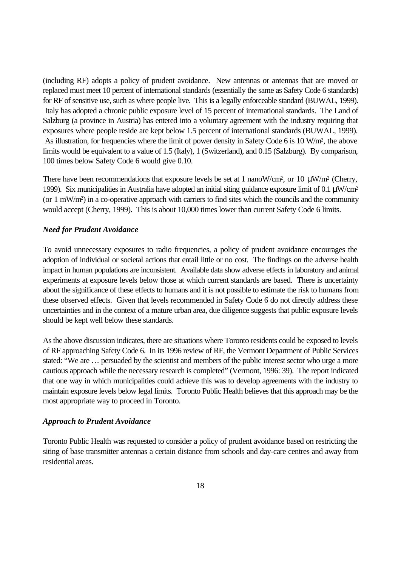(including RF) adopts a policy of prudent avoidance. New antennas or antennas that are moved or replaced must meet 10 percent of international standards (essentially the same as Safety Code 6 standards) for RF of sensitive use, such as where people live. This is a legally enforceable standard (BUWAL, 1999). Italy has adopted a chronic public exposure level of 15 percent of international standards. The Land of Salzburg (a province in Austria) has entered into a voluntary agreement with the industry requiring that exposures where people reside are kept below 1.5 percent of international standards (BUWAL, 1999). As illustration, for frequencies where the limit of power density in Safety Code 6 is 10 W/m<sup>2</sup>, the above limits would be equivalent to a value of 1.5 (Italy), 1 (Switzerland), and 0.15 (Salzburg). By comparison, 100 times below Safety Code 6 would give 0.10.

There have been recommendations that exposure levels be set at 1 nanoW/cm<sup>2</sup>, or 10  $\mu$ W/m<sup>2</sup> (Cherry, 1999). Six municipalities in Australia have adopted an initial siting guidance exposure limit of 0.1 μW/cm<sup>2</sup> (or 1 mW/m<sup>2</sup> ) in a co-operative approach with carriers to find sites which the councils and the community would accept (Cherry, 1999). This is about 10,000 times lower than current Safety Code 6 limits.

### *Need for Prudent Avoidance*

To avoid unnecessary exposures to radio frequencies, a policy of prudent avoidance encourages the adoption of individual or societal actions that entail little or no cost. The findings on the adverse health impact in human populations are inconsistent. Available data show adverse effects in laboratory and animal experiments at exposure levels below those at which current standards are based. There is uncertainty about the significance of these effects to humans and it is not possible to estimate the risk to humans from these observed effects. Given that levels recommended in Safety Code 6 do not directly address these uncertainties and in the context of a mature urban area, due diligence suggests that public exposure levels should be kept well below these standards.

As the above discussion indicates, there are situations where Toronto residents could be exposed to levels of RF approaching Safety Code 6. In its 1996 review of RF, the Vermont Department of Public Services stated: "We are … persuaded by the scientist and members of the public interest sector who urge a more cautious approach while the necessary research is completed" (Vermont, 1996: 39). The report indicated that one way in which municipalities could achieve this was to develop agreements with the industry to maintain exposure levels below legal limits. Toronto Public Health believes that this approach may be the most appropriate way to proceed in Toronto.

#### *Approach to Prudent Avoidance*

Toronto Public Health was requested to consider a policy of prudent avoidance based on restricting the siting of base transmitter antennas a certain distance from schools and day-care centres and away from residential areas.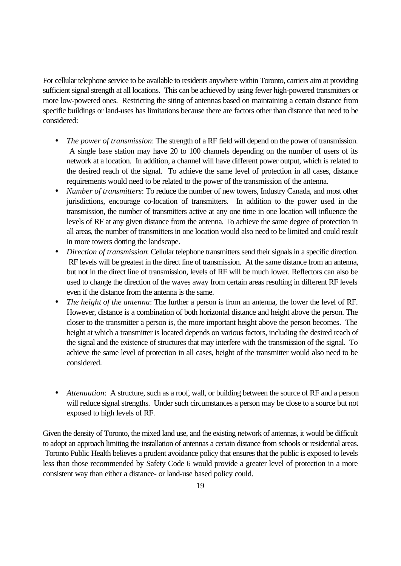For cellular telephone service to be available to residents anywhere within Toronto, carriers aim at providing sufficient signal strength at all locations. This can be achieved by using fewer high-powered transmitters or more low-powered ones. Restricting the siting of antennas based on maintaining a certain distance from specific buildings or land-uses has limitations because there are factors other than distance that need to be considered:

- *The power of transmission*: The strength of a RF field will depend on the power of transmission. A single base station may have 20 to 100 channels depending on the number of users of its network at a location. In addition, a channel will have different power output, which is related to the desired reach of the signal. To achieve the same level of protection in all cases, distance requirements would need to be related to the power of the transmission of the antenna.
- *Number of transmitters*: To reduce the number of new towers, Industry Canada, and most other jurisdictions, encourage co-location of transmitters. In addition to the power used in the transmission, the number of transmitters active at any one time in one location will influence the levels of RF at any given distance from the antenna. To achieve the same degree of protection in all areas, the number of transmitters in one location would also need to be limited and could result in more towers dotting the landscape.
- *Direction of transmission*: Cellular telephone transmitters send their signals in a specific direction. RF levels will be greatest in the direct line of transmission. At the same distance from an antenna, but not in the direct line of transmission, levels of RF will be much lower. Reflectors can also be used to change the direction of the waves away from certain areas resulting in different RF levels even if the distance from the antenna is the same.
- *The height of the antenna*: The further a person is from an antenna, the lower the level of RF. However, distance is a combination of both horizontal distance and height above the person. The closer to the transmitter a person is, the more important height above the person becomes. The height at which a transmitter is located depends on various factors, including the desired reach of the signal and the existence of structures that may interfere with the transmission of the signal. To achieve the same level of protection in all cases, height of the transmitter would also need to be considered.
- *Attenuation*: A structure, such as a roof, wall, or building between the source of RF and a person will reduce signal strengths. Under such circumstances a person may be close to a source but not exposed to high levels of RF.

Given the density of Toronto, the mixed land use, and the existing network of antennas, it would be difficult to adopt an approach limiting the installation of antennas a certain distance from schools or residential areas. Toronto Public Health believes a prudent avoidance policy that ensures that the public is exposed to levels less than those recommended by Safety Code 6 would provide a greater level of protection in a more consistent way than either a distance- or land-use based policy could.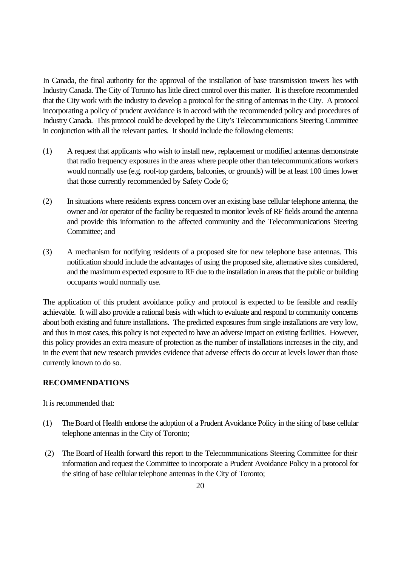In Canada, the final authority for the approval of the installation of base transmission towers lies with Industry Canada. The City of Toronto has little direct control over this matter. It is therefore recommended that the City work with the industry to develop a protocol for the siting of antennas in the City. A protocol incorporating a policy of prudent avoidance is in accord with the recommended policy and procedures of Industry Canada. This protocol could be developed by the City's Telecommunications Steering Committee in conjunction with all the relevant parties. It should include the following elements:

- (1) A request that applicants who wish to install new, replacement or modified antennas demonstrate that radio frequency exposures in the areas where people other than telecommunications workers would normally use (e.g. roof-top gardens, balconies, or grounds) will be at least 100 times lower that those currently recommended by Safety Code 6;
- (2) In situations where residents express concern over an existing base cellular telephone antenna, the owner and /or operator of the facility be requested to monitor levels of RF fields around the antenna and provide this information to the affected community and the Telecommunications Steering Committee; and
- (3) A mechanism for notifying residents of a proposed site for new telephone base antennas. This notification should include the advantages of using the proposed site, alternative sites considered, and the maximum expected exposure to RF due to the installation in areas that the public or building occupants would normally use.

The application of this prudent avoidance policy and protocol is expected to be feasible and readily achievable. It will also provide a rational basis with which to evaluate and respond to community concerns about both existing and future installations. The predicted exposures from single installations are very low, and thus in most cases, this policy is not expected to have an adverse impact on existing facilities. However, this policy provides an extra measure of protection as the number of installations increases in the city, and in the event that new research provides evidence that adverse effects do occur at levels lower than those currently known to do so.

## **RECOMMENDATIONS**

It is recommended that:

- (1) The Board of Health endorse the adoption of a Prudent Avoidance Policy in the siting of base cellular telephone antennas in the City of Toronto;
- (2) The Board of Health forward this report to the Telecommunications Steering Committee for their information and request the Committee to incorporate a Prudent Avoidance Policy in a protocol for the siting of base cellular telephone antennas in the City of Toronto;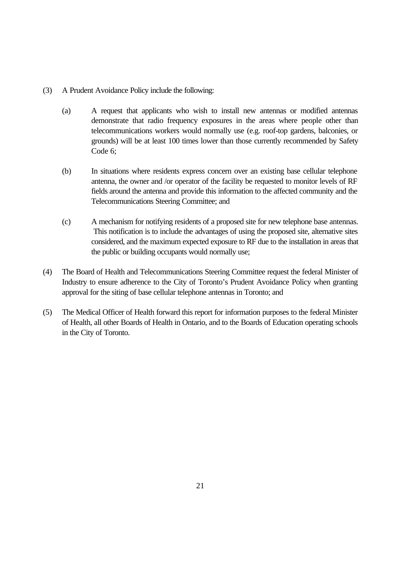- (3) A Prudent Avoidance Policy include the following:
	- (a) A request that applicants who wish to install new antennas or modified antennas demonstrate that radio frequency exposures in the areas where people other than telecommunications workers would normally use (e.g. roof-top gardens, balconies, or grounds) will be at least 100 times lower than those currently recommended by Safety Code 6;
	- (b) In situations where residents express concern over an existing base cellular telephone antenna, the owner and /or operator of the facility be requested to monitor levels of RF fields around the antenna and provide this information to the affected community and the Telecommunications Steering Committee; and
	- (c) A mechanism for notifying residents of a proposed site for new telephone base antennas. This notification is to include the advantages of using the proposed site, alternative sites considered, and the maximum expected exposure to RF due to the installation in areas that the public or building occupants would normally use;
- (4) The Board of Health and Telecommunications Steering Committee request the federal Minister of Industry to ensure adherence to the City of Toronto's Prudent Avoidance Policy when granting approval for the siting of base cellular telephone antennas in Toronto; and
- (5) The Medical Officer of Health forward this report for information purposes to the federal Minister of Health, all other Boards of Health in Ontario, and to the Boards of Education operating schools in the City of Toronto.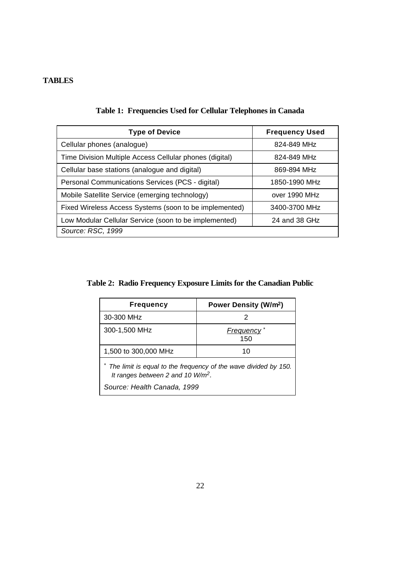# **TABLES**

| <b>Type of Device</b>                                   | <b>Frequency Used</b> |
|---------------------------------------------------------|-----------------------|
| Cellular phones (analogue)                              | 824-849 MHz           |
| Time Division Multiple Access Cellular phones (digital) | 824-849 MHz           |
| Cellular base stations (analogue and digital)           | 869-894 MHz           |
| Personal Communications Services (PCS - digital)        | 1850-1990 MHz         |
| Mobile Satellite Service (emerging technology)          | over 1990 MHz         |
| Fixed Wireless Access Systems (soon to be implemented)  | 3400-3700 MHz         |
| Low Modular Cellular Service (soon to be implemented)   | 24 and 38 GHz         |
| Source: RSC, 1999                                       |                       |

**Table 1: Frequencies Used for Cellular Telephones in Canada**

**Table 2: Radio Frequency Exposure Limits for the Canadian Public**

| <b>Frequency</b>                                                                                                                         | Power Density (W/m <sup>2</sup> ) |  |
|------------------------------------------------------------------------------------------------------------------------------------------|-----------------------------------|--|
| 30-300 MHz                                                                                                                               | 2                                 |  |
| 300-1,500 MHz                                                                                                                            | <b>Frequency</b><br>150           |  |
| 1,500 to 300,000 MHz                                                                                                                     | 10                                |  |
| * The limit is equal to the frequency of the wave divided by 150.<br>It ranges between 2 and 10 $W/m^2$ .<br>Source: Health Canada, 1999 |                                   |  |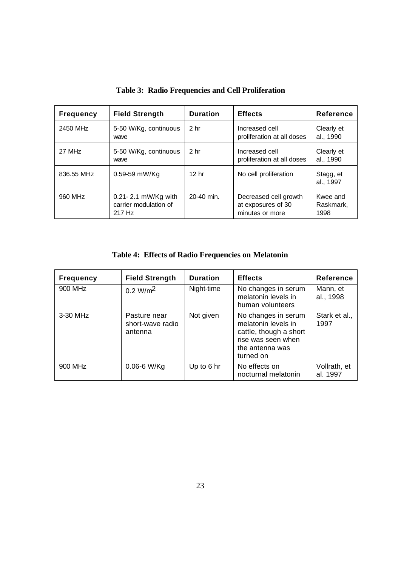| <b>Frequency</b> | <b>Field Strength</b>                                  | <b>Duration</b>  | <b>Effects</b>                                                 | <b>Reference</b>              |
|------------------|--------------------------------------------------------|------------------|----------------------------------------------------------------|-------------------------------|
| 2450 MHz         | 5-50 W/Kg, continuous<br>wave                          | 2 <sub>hr</sub>  | Increased cell<br>proliferation at all doses                   | Clearly et<br>al., 1990       |
| 27 MHz           | 5-50 W/Kg, continuous<br>wave                          | 2 <sub>hr</sub>  | Increased cell<br>proliferation at all doses                   | Clearly et<br>al., 1990       |
| 836.55 MHz       | 0.59-59 mW/Kg                                          | 12 <sub>hr</sub> | No cell proliferation                                          | Stagg, et<br>al., 1997        |
| 960 MHz          | 0.21-2.1 mW/Kg with<br>carrier modulation of<br>217 Hz | 20-40 min.       | Decreased cell growth<br>at exposures of 30<br>minutes or more | Kwee and<br>Raskmark.<br>1998 |

**Table 3: Radio Frequencies and Cell Proliferation**

**Table 4: Effects of Radio Frequencies on Melatonin**

| <b>Frequency</b> | <b>Field Strength</b>                       | <b>Duration</b> | <b>Effects</b>                                                                                                             | <b>Reference</b>         |
|------------------|---------------------------------------------|-----------------|----------------------------------------------------------------------------------------------------------------------------|--------------------------|
| 900 MHz          | 0.2 W/m <sup>2</sup>                        | Night-time      | No changes in serum<br>melatonin levels in<br>human volunteers                                                             | Mann, et<br>al., 1998    |
| 3-30 MHz         | Pasture near<br>short-wave radio<br>antenna | Not given       | No changes in serum<br>melatonin levels in<br>cattle, though a short<br>rise was seen when<br>the antenna was<br>turned on | Stark et al.,<br>1997    |
| 900 MHz          | $0.06 - 6$ W/Kg                             | Up to 6 hr      | No effects on<br>nocturnal melatonin                                                                                       | Vollrath, et<br>al. 1997 |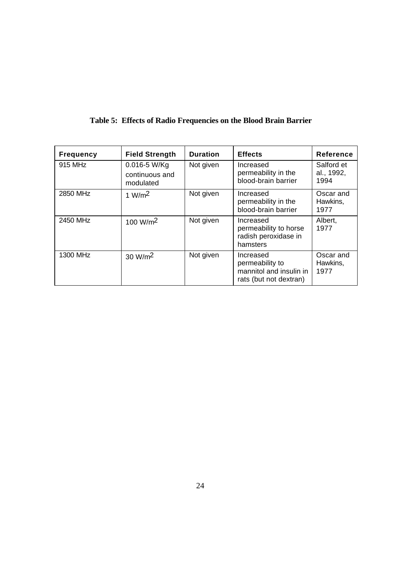| <b>Frequency</b> | <b>Field Strength</b>                       | <b>Duration</b> | <b>Effects</b>                                                                    | <b>Reference</b>                 |
|------------------|---------------------------------------------|-----------------|-----------------------------------------------------------------------------------|----------------------------------|
| 915 MHz          | 0.016-5 W/Kg<br>continuous and<br>modulated | Not given       | Increased<br>permeability in the<br>blood-brain barrier                           | Salford et<br>al., 1992,<br>1994 |
| 2850 MHz         | 1 W/m <sup>2</sup>                          | Not given       | Increased<br>permeability in the<br>blood-brain barrier                           | Oscar and<br>Hawkins,<br>1977    |
| 2450 MHz         | 100 W/m <sup>2</sup>                        | Not given       | Increased<br>permeability to horse<br>radish peroxidase in<br>hamsters            | Albert,<br>1977                  |
| 1300 MHz         | 30 W/m <sup>2</sup>                         | Not given       | Increased<br>permeability to<br>mannitol and insulin in<br>rats (but not dextran) | Oscar and<br>Hawkins,<br>1977    |

# **Table 5: Effects of Radio Frequencies on the Blood Brain Barrier**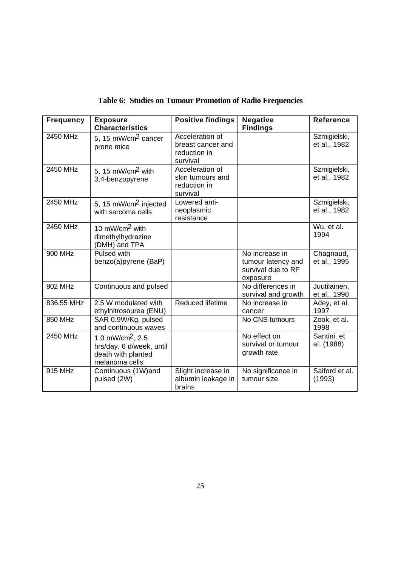| Table 6: Studies on Tumour Promotion of Radio Frequencies |  |
|-----------------------------------------------------------|--|
|-----------------------------------------------------------|--|

| <b>Frequency</b> | <b>Exposure</b><br><b>Characteristics</b>                                                        | <b>Positive findings</b>                                         | <b>Negative</b><br><b>Findings</b>                                     | <b>Reference</b>             |
|------------------|--------------------------------------------------------------------------------------------------|------------------------------------------------------------------|------------------------------------------------------------------------|------------------------------|
| 2450 MHz         | 5, 15 mW/cm <sup>2</sup> cancer<br>prone mice                                                    | Acceleration of<br>breast cancer and<br>reduction in<br>survival |                                                                        | Szmigielski,<br>et al., 1982 |
| 2450 MHz         | 5, 15 $mW/cm2$ with<br>3,4-benzopyrene                                                           | Acceleration of<br>skin tumours and<br>reduction in<br>survival  |                                                                        | Szmigielski,<br>et al., 1982 |
| 2450 MHz         | 5, 15 mW/cm <sup>2</sup> injected<br>with sarcoma cells                                          | Lowered anti-<br>neoplasmic<br>resistance                        |                                                                        | Szmigielski,<br>et al., 1982 |
| 2450 MHz         | 10 mW/cm <sup>2</sup> with<br>dimethylhydrazine<br>(DMH) and TPA                                 |                                                                  |                                                                        | Wu, et al.<br>1994           |
| 900 MHz          | Pulsed with<br>benzo(a)pyrene (BaP)                                                              |                                                                  | No increase in<br>tumour latency and<br>survival due to RF<br>exposure | Chagnaud,<br>et al., 1995    |
| 902 MHz          | Continuous and pulsed                                                                            |                                                                  | No differences in<br>survival and growth                               | Juutilainen,<br>et al., 1998 |
| 836.55 MHz       | 2.5 W modulated with<br>ethylnitrosourea (ENU)                                                   | Reduced lifetime                                                 | No increase in<br>cancer                                               | Adey, et al.<br>1997         |
| 850 MHz          | SAR 0.9W/Kg, pulsed<br>and continuous waves                                                      |                                                                  | No CNS tumours                                                         | Zook, et al.<br>1998         |
| 2450 MHz         | 1.0 mW/cm <sup>2</sup> , 2.5<br>hrs/day, 6 d/week, until<br>death with planted<br>melanoma cells |                                                                  | No effect on<br>survival or tumour<br>growth rate                      | Santini, et<br>al. (1988)    |
| 915 MHz          | Continuous (1W)and<br>pulsed (2W)                                                                | Slight increase in<br>albumin leakage in<br>brains               | No significance in<br>tumour size                                      | Salford et al.<br>(1993)     |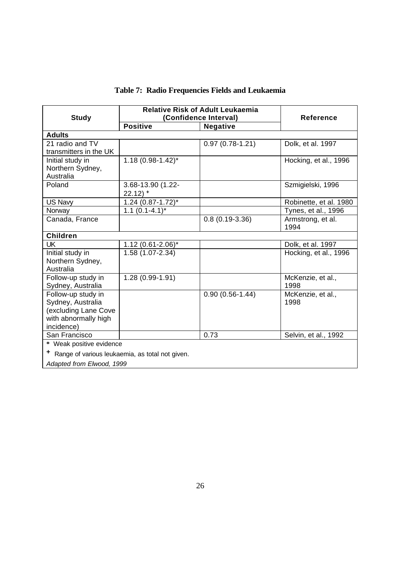|  |  |  |  |  | Table 7: Radio Frequencies Fields and Leukaemia |
|--|--|--|--|--|-------------------------------------------------|
|--|--|--|--|--|-------------------------------------------------|

|                                                       | <b>Relative Risk of Adult Leukaemia</b> |                     |                        |  |  |  |
|-------------------------------------------------------|-----------------------------------------|---------------------|------------------------|--|--|--|
| <b>Study</b>                                          | (Confidence Interval)                   |                     | <b>Reference</b>       |  |  |  |
|                                                       | <b>Positive</b>                         | <b>Negative</b>     |                        |  |  |  |
| <b>Adults</b>                                         |                                         |                     |                        |  |  |  |
| 21 radio and TV                                       |                                         | $0.97(0.78-1.21)$   | Dolk, et al. 1997      |  |  |  |
| transmitters in the UK                                |                                         |                     |                        |  |  |  |
| Initial study in                                      | $1.18(0.98 - 1.42)^{*}$                 |                     | Hocking, et al., 1996  |  |  |  |
| Northern Sydney,                                      |                                         |                     |                        |  |  |  |
| Australia                                             |                                         |                     |                        |  |  |  |
| Poland                                                | 3.68-13.90 (1.22-                       |                     | Szmigielski, 1996      |  |  |  |
|                                                       | $22.12$ ) +                             |                     |                        |  |  |  |
| US Navy                                               | $1.24$ (0.87-1.72) <sup>*</sup>         |                     | Robinette, et al. 1980 |  |  |  |
| Norway                                                | $1.1 (0.1 - 4.1)^*$                     |                     | Tynes, et al., 1996    |  |  |  |
| Canada, France                                        |                                         | $0.8(0.19-3.36)$    | Armstrong, et al.      |  |  |  |
|                                                       |                                         |                     | 1994                   |  |  |  |
| <b>Children</b>                                       |                                         |                     |                        |  |  |  |
| <b>UK</b>                                             | $1.12(0.61 - 2.06)^{*}$                 |                     | Dolk, et al. 1997      |  |  |  |
| Initial study in                                      | 1.58 (1.07-2.34)                        |                     | Hocking, et al., 1996  |  |  |  |
| Northern Sydney,                                      |                                         |                     |                        |  |  |  |
| Australia                                             |                                         |                     |                        |  |  |  |
| Follow-up study in                                    | 1.28 (0.99-1.91)                        |                     | McKenzie, et al.,      |  |  |  |
| Sydney, Australia                                     |                                         |                     | 1998                   |  |  |  |
| Follow-up study in                                    |                                         | $0.90(0.56 - 1.44)$ | McKenzie, et al.,      |  |  |  |
| Sydney, Australia                                     |                                         |                     | 1998                   |  |  |  |
| (excluding Lane Cove                                  |                                         |                     |                        |  |  |  |
| with abnormally high                                  |                                         |                     |                        |  |  |  |
| incidence)                                            |                                         |                     |                        |  |  |  |
| San Francisco                                         |                                         | 0.73                | Selvin, et al., 1992   |  |  |  |
| * Weak positive evidence                              |                                         |                     |                        |  |  |  |
| ۰,<br>Range of various leukaemia, as total not given. |                                         |                     |                        |  |  |  |
| Adapted from Elwood, 1999                             |                                         |                     |                        |  |  |  |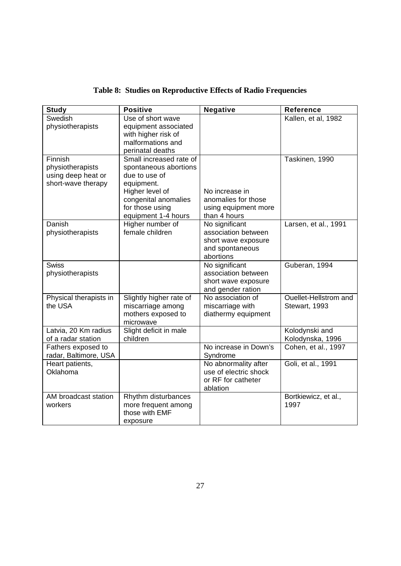| <b>Study</b>                                                            | <b>Positive</b>                                                                                                                                                      | <b>Negative</b>                                                                              | <b>Reference</b>                       |
|-------------------------------------------------------------------------|----------------------------------------------------------------------------------------------------------------------------------------------------------------------|----------------------------------------------------------------------------------------------|----------------------------------------|
| Swedish<br>physiotherapists                                             | Use of short wave<br>equipment associated<br>with higher risk of<br>malformations and<br>perinatal deaths                                                            |                                                                                              | Kallen, et al, 1982                    |
| Finnish<br>physiotherapists<br>using deep heat or<br>short-wave therapy | Small increased rate of<br>spontaneous abortions<br>due to use of<br>equipment.<br>Higher level of<br>congenital anomalies<br>for those using<br>equipment 1-4 hours | No increase in<br>anomalies for those<br>using equipment more<br>than 4 hours                | Taskinen, 1990                         |
| Danish<br>physiotherapists                                              | Higher number of<br>female children                                                                                                                                  | No significant<br>association between<br>short wave exposure<br>and spontaneous<br>abortions | Larsen, et al., 1991                   |
| <b>Swiss</b><br>physiotherapists                                        |                                                                                                                                                                      | No significant<br>association between<br>short wave exposure<br>and gender ration            | Guberan, 1994                          |
| Physical therapists in<br>the USA                                       | Slightly higher rate of<br>miscarriage among<br>mothers exposed to<br>microwave                                                                                      | No association of<br>miscarriage with<br>diathermy equipment                                 | Ouellet-Hellstrom and<br>Stewart, 1993 |
| Latvia, 20 Km radius<br>of a radar station                              | Slight deficit in male<br>children                                                                                                                                   |                                                                                              | Kolodynski and<br>Kolodynska, 1996     |
| Fathers exposed to<br>radar, Baltimore, USA                             |                                                                                                                                                                      | No increase in Down's<br>Syndrome                                                            | Cohen, et al., 1997                    |
| Heart patients,<br>Oklahoma                                             |                                                                                                                                                                      | No abnormality after<br>use of electric shock<br>or RF for catheter<br>ablation              | Goli, et al., 1991                     |
| AM broadcast station<br>workers                                         | Rhythm disturbances<br>more frequent among<br>those with EMF<br>exposure                                                                                             |                                                                                              | Bortkiewicz, et al.,<br>1997           |

**Table 8: Studies on Reproductive Effects of Radio Frequencies**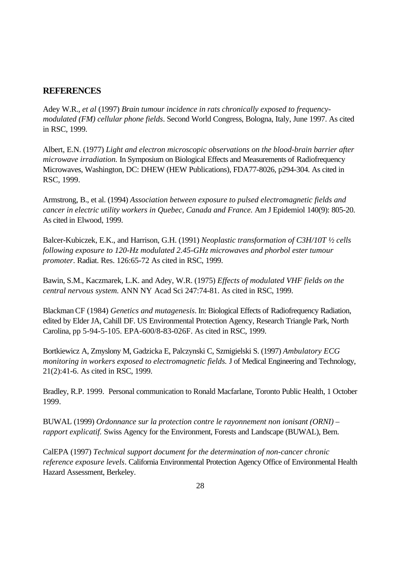## **REFERENCES**

Adey W.R., *et al* (1997) *Brain tumour incidence in rats chronically exposed to frequencymodulated (FM) cellular phone fields*. Second World Congress, Bologna, Italy, June 1997. As cited in RSC, 1999.

Albert, E.N. (1977) *Light and electron microscopic observations on the blood-brain barrier after microwave irradiation.* In Symposium on Biological Effects and Measurements of Radiofrequency Microwaves, Washington, DC: DHEW (HEW Publications), FDA77-8026, p294-304. As cited in RSC, 1999.

Armstrong, B., et al. (1994) *Association between exposure to pulsed electromagnetic fields and cancer in electric utility workers in Quebec, Canada and France.* Am J Epidemiol 140(9): 805-20. As cited in Elwood, 1999.

Balcer-Kubiczek, E.K., and Harrison, G.H. (1991) *Neoplastic transformation of C3H/10T ½ cells following exposure to 120-Hz modulated 2.45-GHz microwaves and phorbol ester tumour promoter*. Radiat. Res. 126:65-72 As cited in RSC, 1999.

Bawin, S.M., Kaczmarek, L.K. and Adey, W.R. (1975) *Effects of modulated VHF fields on the central nervous system.* ANN NY Acad Sci 247:74-81. As cited in RSC, 1999.

Blackman CF (1984) *Genetics and mutagenesis*. In: Biological Effects of Radiofrequency Radiation, edited by Elder JA, Cahill DF. US Environmental Protection Agency, Research Triangle Park, North Carolina, pp 5-94-5-105. EPA-600/8-83-026F. As cited in RSC, 1999.

Bortkiewicz A, Zmyslony M, Gadzicka E, Palczynski C, Szmigielski S. (1997) *Ambulatory ECG monitoring in workers exposed to electromagnetic fields.* J of Medical Engineering and Technology, 21(2):41-6. As cited in RSC, 1999.

Bradley, R.P. 1999. Personal communication to Ronald Macfarlane, Toronto Public Health, 1 October 1999.

BUWAL (1999) *Ordonnance sur la protection contre le rayonnement non ionisant (ORNI) – rapport explicatif.* Swiss Agency for the Environment, Forests and Landscape (BUWAL), Bern.

CalEPA (1997) *Technical support document for the determination of non-cancer chronic reference exposure levels*. California Environmental Protection Agency Office of Environmental Health Hazard Assessment, Berkeley.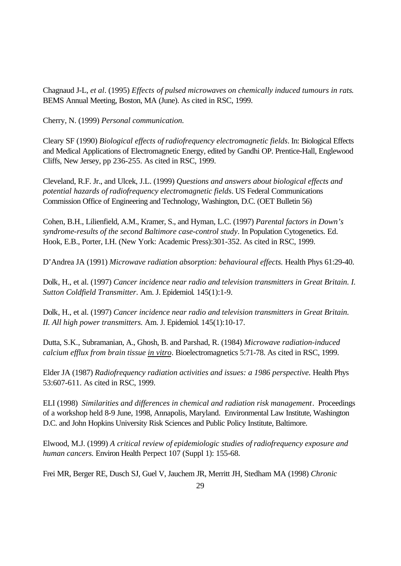Chagnaud J-L, *et al*. (1995) *Effects of pulsed microwaves on chemically induced tumours in rats*. BEMS Annual Meeting, Boston, MA (June). As cited in RSC, 1999.

Cherry, N. (1999) *Personal communication.*

Cleary SF (1990) *Biological effects of radiofrequency electromagnetic fields*. In: Biological Effects and Medical Applications of Electromagnetic Energy, edited by Gandhi OP. Prentice-Hall, Englewood Cliffs, New Jersey, pp 236-255. As cited in RSC, 1999.

Cleveland, R.F. Jr., and Ulcek, J.L. (1999) *Questions and answers about biological effects and potential hazards of radiofrequency electromagnetic fields*. US Federal Communications Commission Office of Engineering and Technology, Washington, D.C. (OET Bulletin 56)

Cohen, B.H., Lilienfield, A.M., Kramer, S., and Hyman, L.C. (1997) *Parental factors in Down's syndrome-results of the second Baltimore case-control study*. In Population Cytogenetics. Ed. Hook, E.B., Porter, I.H. (New York: Academic Press):301-352. As cited in RSC, 1999.

D'Andrea JA (1991) *Microwave radiation absorption: behavioural effects.* Health Phys 61:29-40.

Dolk, H., et al. (1997) *Cancer incidence near radio and television transmitters in Great Britain. I. Sutton Coldfield Transmitter*. Am. J. Epidemiol. 145(1):1-9.

Dolk, H., et al. (1997) *Cancer incidence near radio and television transmitters in Great Britain. II. All high power transmitters.* Am. J. Epidemiol. 145(1):10-17.

Dutta, S.K., Subramanian, A., Ghosh, B. and Parshad, R. (1984) *Microwave radiation-induced calcium efflux from brain tissue in vitro*. Bioelectromagnetics 5:71-78. As cited in RSC, 1999.

Elder JA (1987) *Radiofrequency radiation activities and issues: a 1986 perspective.* Health Phys 53:607-611. As cited in RSC, 1999.

ELI (1998) *Similarities and differences in chemical and radiation risk management*. Proceedings of a workshop held 8-9 June, 1998, Annapolis, Maryland. Environmental Law Institute, Washington D.C. and John Hopkins University Risk Sciences and Public Policy Institute, Baltimore.

Elwood, M.J. (1999) *A critical review of epidemiologic studies of radiofrequency exposure and human cancers.* Environ Health Perpect 107 (Suppl 1): 155-68.

Frei MR, Berger RE, Dusch SJ, Guel V, Jauchem JR, Merritt JH, Stedham MA (1998) *Chronic*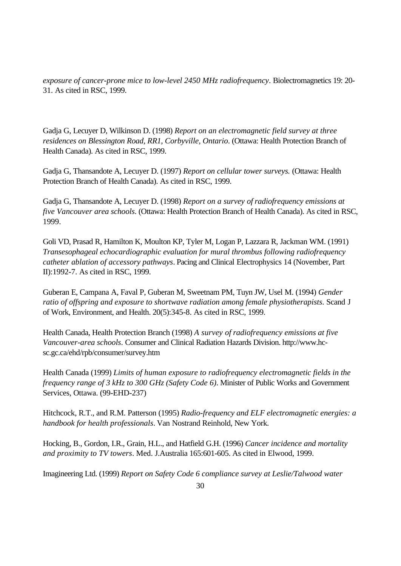*exposure of cancer-prone mice to low-level 2450 MHz radiofrequency*. Biolectromagnetics 19: 20- 31. As cited in RSC, 1999.

Gadja G, Lecuyer D, Wilkinson D. (1998) *Report on an electromagnetic field survey at three residences on Blessington Road, RR1, Corbyville, Ontario*. (Ottawa: Health Protection Branch of Health Canada). As cited in RSC, 1999.

Gadja G, Thansandote A, Lecuyer D. (1997) *Report on cellular tower surveys.* (Ottawa: Health Protection Branch of Health Canada). As cited in RSC, 1999.

Gadja G, Thansandote A, Lecuyer D. (1998) *Report on a survey of radiofrequency emissions at five Vancouver area schools*. (Ottawa: Health Protection Branch of Health Canada). As cited in RSC, 1999.

Goli VD, Prasad R, Hamilton K, Moulton KP, Tyler M, Logan P, Lazzara R, Jackman WM. (1991) *Transesophageal echocardiographic evaluation for mural thrombus following radiofrequency catheter ablation of accessory pathways*. Pacing and Clinical Electrophysics 14 (November, Part II):1992-7. As cited in RSC, 1999.

Guberan E, Campana A, Faval P, Guberan M, Sweetnam PM, Tuyn JW, Usel M. (1994) *Gender ratio of offspring and exposure to shortwave radiation among female physiotherapists.* Scand J of Work, Environment, and Health. 20(5):345-8. As cited in RSC, 1999.

Health Canada, Health Protection Branch (1998) *A survey of radiofrequency emissions at five Vancouver-area schools*. Consumer and Clinical Radiation Hazards Division. http://www.hcsc.gc.ca/ehd/rpb/consumer/survey.htm

Health Canada (1999) *Limits of human exposure to radiofrequency electromagnetic fields in the frequency range of 3 kHz to 300 GHz (Safety Code 6)*. Minister of Public Works and Government Services, Ottawa. (99-EHD-237)

Hitchcock, R.T., and R.M. Patterson (1995) *Radio-frequency and ELF electromagnetic energies: a handbook for health professionals*. Van Nostrand Reinhold, New York.

Hocking, B., Gordon, I.R., Grain, H.L., and Hatfield G.H. (1996) *Cancer incidence and mortality and proximity to TV towers*. Med. J.Australia 165:601-605. As cited in Elwood, 1999.

Imagineering Ltd. (1999) *Report on Safety Code 6 compliance survey at Leslie/Talwood water*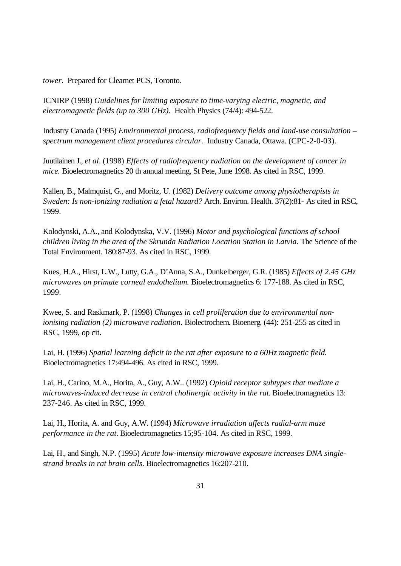*tower*. Prepared for Clearnet PCS, Toronto.

ICNIRP (1998) *Guidelines for limiting exposure to time-varying electric, magnetic, and electromagnetic fields (up to 300 GHz)*.Health Physics (74/4): 494-522.

Industry Canada (1995) *Environmental process, radiofrequency fields and land-use consultation – spectrum management client procedures circular*. Industry Canada, Ottawa. (CPC-2-0-03).

Juutilainen J., *et al*. (1998) *Effects of radiofrequency radiation on the development of cancer in mice.* Bioelectromagnetics 20 th annual meeting, St Pete, June 1998. As cited in RSC, 1999.

Kallen, B., Malmquist, G., and Moritz, U. (1982) *Delivery outcome among physiotherapists in Sweden: Is non-ionizing radiation a fetal hazard?* Arch. Environ. Health. 37(2):81- As cited in RSC, 1999.

Kolodynski, A.A., and Kolodynska, V.V. (1996) *Motor and psychological functions af school children living in the area of the Skrunda Radiation Location Station in Latvia*. The Science of the Total Environment. 180:87-93. As cited in RSC, 1999.

Kues, H.A., Hirst, L.W., Lutty, G.A., D'Anna, S.A., Dunkelberger, G.R. (1985) *Effects of 2.45 GHz microwaves on primate corneal endothelium.* Bioelectromagnetics 6: 177-188. As cited in RSC, 1999.

Kwee, S. and Raskmark, P. (1998) *Changes in cell proliferation due to environmental nonionising radiation (2) microwave radiation*. Biolectrochem. Bioenerg. (44): 251-255 as cited in RSC, 1999, op cit.

Lai, H. (1996) *Spatial learning deficit in the rat after exposure to a 60Hz magnetic field.* Bioelectromagnetics 17:494-496. As cited in RSC, 1999.

Lai, H., Carino, M.A., Horita, A., Guy, A.W.. (1992) *Opioid receptor subtypes that mediate a microwaves-induced decrease in central cholinergic activity in the rat.* Bioelectromagnetics 13: 237-246. As cited in RSC, 1999.

Lai, H., Horita, A. and Guy, A.W. (1994) *Microwave irradiation affects radial-arm maze performance in the rat.* Bioelectromagnetics 15;95-104. As cited in RSC, 1999.

Lai, H., and Singh, N.P. (1995) *Acute low-intensity microwave exposure increases DNA singlestrand breaks in rat brain cells*. Bioelectromagnetics 16:207-210.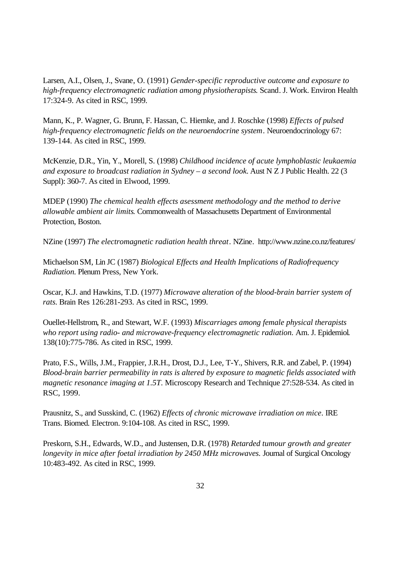Larsen, A.I., Olsen, J., Svane, O. (1991) *Gender-specific reproductive outcome and exposure to high-frequency electromagnetic radiation among physiotherapists*. Scand. J. Work. Environ Health 17:324-9. As cited in RSC, 1999.

Mann, K., P. Wagner, G. Brunn, F. Hassan, C. Hiemke, and J. Roschke (1998) *Effects of pulsed high-frequency electromagnetic fields on the neuroendocrine system*. Neuroendocrinology 67: 139-144. As cited in RSC, 1999.

McKenzie, D.R., Yin, Y., Morell, S. (1998) *Childhood incidence of acute lymphoblastic leukaemia and exposure to broadcast radiation in Sydney – a second look.* Aust N Z J Public Health. 22 (3 Suppl): 360-7. As cited in Elwood, 1999.

MDEP (1990) *The chemical health effects asessment methodology and the method to derive allowable ambient air limits*. Commonwealth of Massachusetts Department of Environmental Protection, Boston.

NZine (1997) *The electromagnetic radiation health threat*. NZine. http://www.nzine.co.nz/features/

Michaelson SM, Lin JC (1987) *Biological Effects and Health Implications of Radiofrequency Radiation.* Plenum Press, New York.

Oscar, K.J. and Hawkins, T.D. (1977) *Microwave alteration of the blood-brain barrier system of rats.* Brain Res 126:281-293. As cited in RSC, 1999.

Ouellet-Hellstrom, R., and Stewart, W.F. (1993) *Miscarriages among female physical therapists who report using radio- and microwave-frequency electromagnetic radiation.* Am. J. Epidemiol. 138(10):775-786. As cited in RSC, 1999.

Prato, F.S., Wills, J.M., Frappier, J.R.H., Drost, D.J., Lee, T-Y., Shivers, R.R. and Zabel, P. (1994) *Blood-brain barrier permeability in rats is altered by exposure to magnetic fields associated with magnetic resonance imaging at 1.5T*. Microscopy Research and Technique 27:528-534. As cited in RSC, 1999.

Prausnitz, S., and Susskind, C. (1962) *Effects of chronic microwave irradiation on mice*. IRE Trans. Biomed. Electron. 9:104-108. As cited in RSC, 1999.

Preskorn, S.H., Edwards, W.D., and Justensen, D.R. (1978) *Retarded tumour growth and greater longevity in mice after foetal irradiation by 2450 MHz microwaves.* Journal of Surgical Oncology 10:483-492. As cited in RSC, 1999.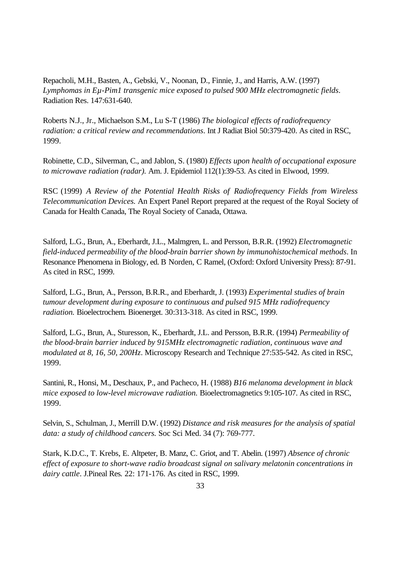Repacholi, M.H., Basten, A., Gebski, V., Noonan, D., Finnie, J., and Harris, A.W. (1997) *Lymphomas in Eµ-Pim1 transgenic mice exposed to pulsed 900 MHz electromagnetic fields*. Radiation Res. 147:631-640.

Roberts N.J., Jr., Michaelson S.M., Lu S-T (1986) *The biological effects of radiofrequency radiation: a critical review and recommendations*. Int J Radiat Biol 50:379-420. As cited in RSC, 1999.

Robinette, C.D., Silverman, C., and Jablon, S. (1980) *Effects upon health of occupational exposure to microwave radiation (radar).* Am. J. Epidemiol 112(1):39-53. As cited in Elwood, 1999.

RSC (1999) *A Review of the Potential Health Risks of Radiofrequency Fields from Wireless Telecommunication Devices.* An Expert Panel Report prepared at the request of the Royal Society of Canada for Health Canada, The Royal Society of Canada, Ottawa.

Salford, L.G., Brun, A., Eberhardt, J.L., Malmgren, L. and Persson, B.R.R. (1992) *Electromagnetic field-induced permeability of the blood-brain barrier shown by immunohistochemical methods*. In Resonance Phenomena in Biology, ed. B Norden, C Ramel, (Oxford: Oxford University Press): 87-91. As cited in RSC, 1999.

Salford, L.G., Brun, A., Persson, B.R.R., and Eberhardt, J. (1993) *Experimental studies of brain tumour development during exposure to continuous and pulsed 915 MHz radiofrequency radiation.* Bioelectrochem. Bioenerget. 30:313-318. As cited in RSC, 1999.

Salford, L.G., Brun, A., Sturesson, K., Eberhardt, J.L. and Persson, B.R.R. (1994) *Permeability of the blood-brain barrier induced by 915MHz electromagnetic radiation, continuous wave and modulated at 8, 16, 50, 200Hz*. Microscopy Research and Technique 27:535-542. As cited in RSC, 1999.

Santini, R., Honsi, M., Deschaux, P., and Pacheco, H. (1988) *B16 melanoma development in black mice exposed to low-level microwave radiation.* Bioelectromagnetics 9:105-107. As cited in RSC, 1999.

Selvin, S., Schulman, J., Merrill D.W. (1992) *Distance and risk measures for the analysis of spatial data: a study of childhood cancers.* Soc Sci Med. 34 (7): 769-777.

Stark, K.D.C., T. Krebs, E. Altpeter, B. Manz, C. Griot, and T. Abelin. (1997) *Absence of chronic effect of exposure to short-wave radio broadcast signal on salivary melatonin concentrations in dairy cattle*. J.Pineal Res*.* 22: 171-176. As cited in RSC, 1999.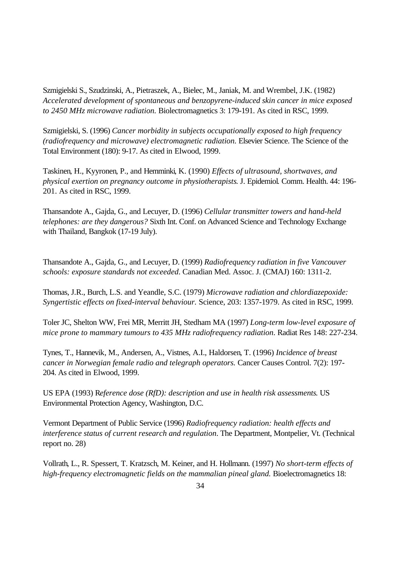Szmigielski S., Szudzinski, A., Pietraszek, A., Bielec, M., Janiak, M. and Wrembel, J.K. (1982) *Accelerated development of spontaneous and benzopyrene-induced skin cancer in mice exposed to 2450 MHz microwave radiation.* Biolectromagnetics 3: 179-191. As cited in RSC, 1999.

Szmigielski, S. (1996) *Cancer morbidity in subjects occupationally exposed to high frequency (radiofrequency and microwave) electromagnetic radiation.* Elsevier Science. The Science of the Total Environment (180): 9-17. As cited in Elwood, 1999.

Taskinen, H., Kyyronen, P., and Hemminki, K. (1990) *Effects of ultrasound, shortwaves, and physical exertion on pregnancy outcome in physiotherapists*. J. Epidemiol. Comm. Health. 44: 196- 201. As cited in RSC, 1999.

Thansandote A., Gajda, G., and Lecuyer, D. (1996) *Cellular transmitter towers and hand-held telephones: are they dangerous?* Sixth Int. Conf. on Advanced Science and Technology Exchange with Thailand, Bangkok (17-19 July).

Thansandote A., Gajda, G., and Lecuyer, D. (1999) *Radiofrequency radiation in five Vancouver schools: exposure standards not exceeded*. Canadian Med. Assoc. J. (CMAJ) 160: 1311-2.

Thomas, J.R., Burch, L.S. and Yeandle, S.C. (1979) *Microwave radiation and chlordiazepoxide: Syngertistic effects on fixed-interval behaviour.* Science, 203: 1357-1979. As cited in RSC, 1999.

Toler JC, Shelton WW, Frei MR, Merritt JH, Stedham MA (1997) *Long-term low-level exposure of mice prone to mammary tumours to 435 MHz radiofrequency radiation*. Radiat Res 148: 227-234.

Tynes, T., Hannevik, M., Andersen, A., Vistnes, A.I., Haldorsen, T. (1996) *Incidence of breast cancer in Norwegian female radio and telegraph operators.* Cancer Causes Control. 7(2): 197- 204. As cited in Elwood, 1999.

US EPA (1993) R*eference dose (RfD): description and use in health risk assessments*. US Environmental Protection Agency, Washington, D.C.

Vermont Department of Public Service (1996) *Radiofrequency radiation: health effects and interference status of current research and regulation*. The Department, Montpelier, Vt. (Technical report no. 28)

Vollrath, L., R. Spessert, T. Kratzsch, M. Keiner, and H. Hollmann. (1997) *No short-term effects of high-frequency electromagnetic fields on the mammalian pineal gland.* Bioelectromagnetics 18: